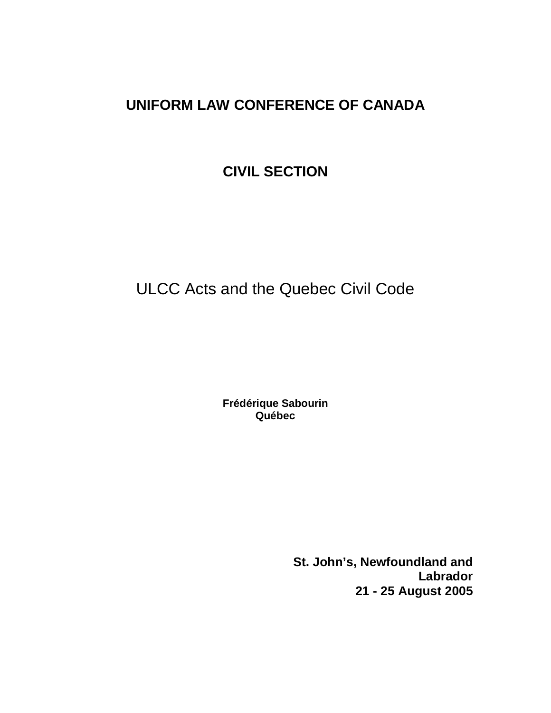# **UNIFORM LAW CONFERENCE OF CANADA**

# **CIVIL SECTION**

# ULCC Acts and the Quebec Civil Code

**Frédérique Sabourin Québec**

> **St. John's, Newfoundland and Labrador 21 - 25 August 2005**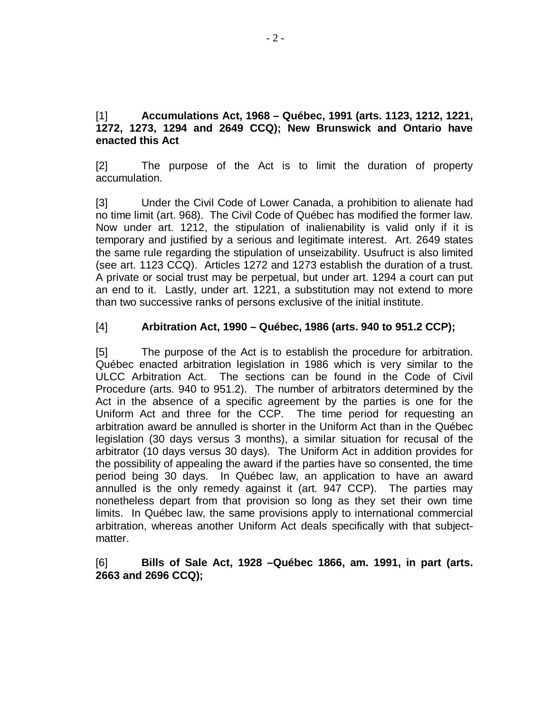#### [1] **Accumulations Act, 1968 – Québec, 1991 (arts. 1123, 1212, 1221, 1272, 1273, 1294 and 2649 CCQ); New Brunswick and Ontario have enacted this Act**

[2] The purpose of the Act is to limit the duration of property accumulation.

[3] Under the Civil Code of Lower Canada, a prohibition to alienate had no time limit (art. 968). The Civil Code of Québec has modified the former law. Now under art. 1212, the stipulation of inalienability is valid only if it is temporary and justified by a serious and legitimate interest. Art. 2649 states the same rule regarding the stipulation of unseizability. Usufruct is also limited (see art. 1123 CCQ). Articles 1272 and 1273 establish the duration of a trust. A private or social trust may be perpetual, but under art. 1294 a court can put an end to it. Lastly, under art. 1221, a substitution may not extend to more than two successive ranks of persons exclusive of the initial institute.

# [4] **Arbitration Act, 1990 – Québec, 1986 (arts. 940 to 951.2 CCP);**

[5] The purpose of the Act is to establish the procedure for arbitration. Québec enacted arbitration legislation in 1986 which is very similar to the ULCC Arbitration Act. The sections can be found in the Code of Civil Procedure (arts. 940 to 951.2). The number of arbitrators determined by the Act in the absence of a specific agreement by the parties is one for the Uniform Act and three for the CCP. The time period for requesting an arbitration award be annulled is shorter in the Uniform Act than in the Québec legislation (30 days versus 3 months), a similar situation for recusal of the arbitrator (10 days versus 30 days). The Uniform Act in addition provides for the possibility of appealing the award if the parties have so consented, the time period being 30 days. In Québec law, an application to have an award annulled is the only remedy against it (art. 947 CCP). The parties may nonetheless depart from that provision so long as they set their own time limits. In Québec law, the same provisions apply to international commercial arbitration, whereas another Uniform Act deals specifically with that subjectmatter.

#### [6] **Bills of Sale Act, 1928 –Québec 1866, am. 1991, in part (arts. 2663 and 2696 CCQ);**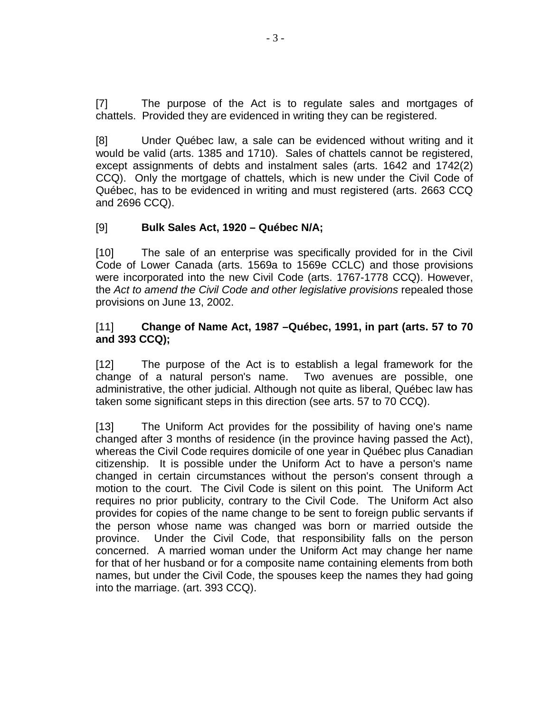[7] The purpose of the Act is to regulate sales and mortgages of chattels. Provided they are evidenced in writing they can be registered.

[8] Under Québec law, a sale can be evidenced without writing and it would be valid (arts. 1385 and 1710). Sales of chattels cannot be registered, except assignments of debts and instalment sales (arts. 1642 and 1742(2) CCQ). Only the mortgage of chattels, which is new under the Civil Code of Québec, has to be evidenced in writing and must registered (arts. 2663 CCQ and 2696 CCQ).

# [9] **Bulk Sales Act, 1920 – Québec N/A;**

[10] The sale of an enterprise was specifically provided for in the Civil Code of Lower Canada (arts. 1569a to 1569e CCLC) and those provisions were incorporated into the new Civil Code (arts. 1767-1778 CCQ). However, the Act to amend the Civil Code and other legislative provisions repealed those provisions on June 13, 2002.

#### [11] **Change of Name Act, 1987 –Québec, 1991, in part (arts. 57 to 70 and 393 CCQ);**

[12] The purpose of the Act is to establish a legal framework for the change of a natural person's name. Two avenues are possible, one administrative, the other judicial. Although not quite as liberal, Québec law has taken some significant steps in this direction (see arts. 57 to 70 CCQ).

[13] The Uniform Act provides for the possibility of having one's name changed after 3 months of residence (in the province having passed the Act), whereas the Civil Code requires domicile of one year in Québec plus Canadian citizenship. It is possible under the Uniform Act to have a person's name changed in certain circumstances without the person's consent through a motion to the court. The Civil Code is silent on this point. The Uniform Act requires no prior publicity, contrary to the Civil Code. The Uniform Act also provides for copies of the name change to be sent to foreign public servants if the person whose name was changed was born or married outside the province. Under the Civil Code, that responsibility falls on the person concerned. A married woman under the Uniform Act may change her name for that of her husband or for a composite name containing elements from both names, but under the Civil Code, the spouses keep the names they had going into the marriage. (art. 393 CCQ).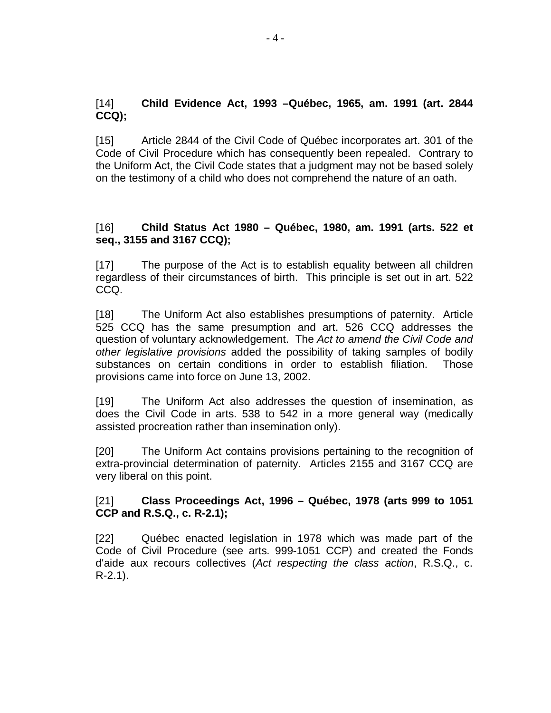#### [14] **Child Evidence Act, 1993 –Québec, 1965, am. 1991 (art. 2844 CCQ);**

[15] Article 2844 of the Civil Code of Québec incorporates art. 301 of the Code of Civil Procedure which has consequently been repealed. Contrary to the Uniform Act, the Civil Code states that a judgment may not be based solely on the testimony of a child who does not comprehend the nature of an oath.

#### [16] **Child Status Act 1980 – Québec, 1980, am. 1991 (arts. 522 et seq., 3155 and 3167 CCQ);**

[17] The purpose of the Act is to establish equality between all children regardless of their circumstances of birth. This principle is set out in art. 522 CCQ.

[18] The Uniform Act also establishes presumptions of paternity. Article 525 CCQ has the same presumption and art. 526 CCQ addresses the question of voluntary acknowledgement. The Act to amend the Civil Code and other legislative provisions added the possibility of taking samples of bodily substances on certain conditions in order to establish filiation. Those provisions came into force on June 13, 2002.

[19] The Uniform Act also addresses the question of insemination, as does the Civil Code in arts. 538 to 542 in a more general way (medically assisted procreation rather than insemination only).

[20] The Uniform Act contains provisions pertaining to the recognition of extra-provincial determination of paternity. Articles 2155 and 3167 CCQ are very liberal on this point.

# [21] **Class Proceedings Act, 1996 – Québec, 1978 (arts 999 to 1051 CCP and R.S.Q., c. R-2.1);**

[22] Québec enacted legislation in 1978 which was made part of the Code of Civil Procedure (see arts. 999-1051 CCP) and created the Fonds d'aide aux recours collectives (Act respecting the class action, R.S.Q., c. R-2.1).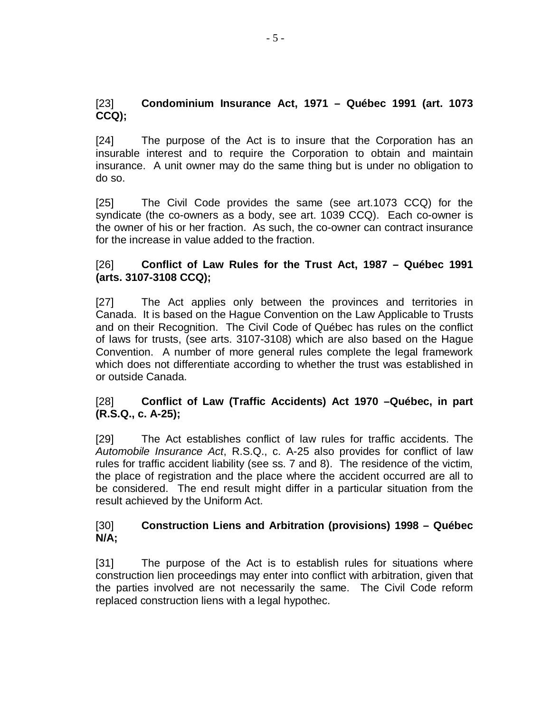#### [23] **Condominium Insurance Act, 1971 – Québec 1991 (art. 1073 CCQ);**

[24] The purpose of the Act is to insure that the Corporation has an insurable interest and to require the Corporation to obtain and maintain insurance. A unit owner may do the same thing but is under no obligation to do so.

[25] The Civil Code provides the same (see art.1073 CCQ) for the syndicate (the co-owners as a body, see art. 1039 CCQ). Each co-owner is the owner of his or her fraction. As such, the co-owner can contract insurance for the increase in value added to the fraction.

#### [26] **Conflict of Law Rules for the Trust Act, 1987 – Québec 1991 (arts. 3107-3108 CCQ);**

[27] The Act applies only between the provinces and territories in Canada. It is based on the Hague Convention on the Law Applicable to Trusts and on their Recognition. The Civil Code of Québec has rules on the conflict of laws for trusts, (see arts. 3107-3108) which are also based on the Hague Convention. A number of more general rules complete the legal framework which does not differentiate according to whether the trust was established in or outside Canada.

# [28] **Conflict of Law (Traffic Accidents) Act 1970 –Québec, in part (R.S.Q., c. A-25);**

[29] The Act establishes conflict of law rules for traffic accidents. The Automobile Insurance Act, R.S.Q., c. A-25 also provides for conflict of law rules for traffic accident liability (see ss. 7 and 8). The residence of the victim, the place of registration and the place where the accident occurred are all to be considered. The end result might differ in a particular situation from the result achieved by the Uniform Act.

#### [30] **Construction Liens and Arbitration (provisions) 1998 – Québec N/A;**

[31] The purpose of the Act is to establish rules for situations where construction lien proceedings may enter into conflict with arbitration, given that the parties involved are not necessarily the same. The Civil Code reform replaced construction liens with a legal hypothec.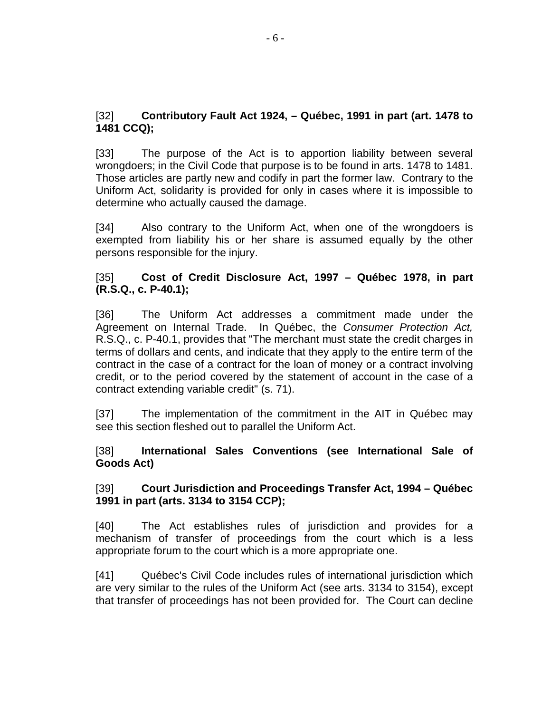#### [32] **Contributory Fault Act 1924, – Québec, 1991 in part (art. 1478 to 1481 CCQ);**

[33] The purpose of the Act is to apportion liability between several wrongdoers; in the Civil Code that purpose is to be found in arts. 1478 to 1481. Those articles are partly new and codify in part the former law. Contrary to the Uniform Act, solidarity is provided for only in cases where it is impossible to determine who actually caused the damage.

[34] Also contrary to the Uniform Act, when one of the wrongdoers is exempted from liability his or her share is assumed equally by the other persons responsible for the injury.

#### [35] **Cost of Credit Disclosure Act, 1997 – Québec 1978, in part (R.S.Q., c. P-40.1);**

[36] The Uniform Act addresses a commitment made under the Agreement on Internal Trade. In Québec, the Consumer Protection Act, R.S.Q., c. P-40.1, provides that "The merchant must state the credit charges in terms of dollars and cents, and indicate that they apply to the entire term of the contract in the case of a contract for the loan of money or a contract involving credit, or to the period covered by the statement of account in the case of a contract extending variable credit" (s. 71).

[37] The implementation of the commitment in the AIT in Québec may see this section fleshed out to parallel the Uniform Act.

#### [38] **International Sales Conventions (see International Sale of Goods Act)**

#### [39] **Court Jurisdiction and Proceedings Transfer Act, 1994 – Québec 1991 in part (arts. 3134 to 3154 CCP);**

[40] The Act establishes rules of jurisdiction and provides for a mechanism of transfer of proceedings from the court which is a less appropriate forum to the court which is a more appropriate one.

[41] Québec's Civil Code includes rules of international jurisdiction which are very similar to the rules of the Uniform Act (see arts. 3134 to 3154), except that transfer of proceedings has not been provided for. The Court can decline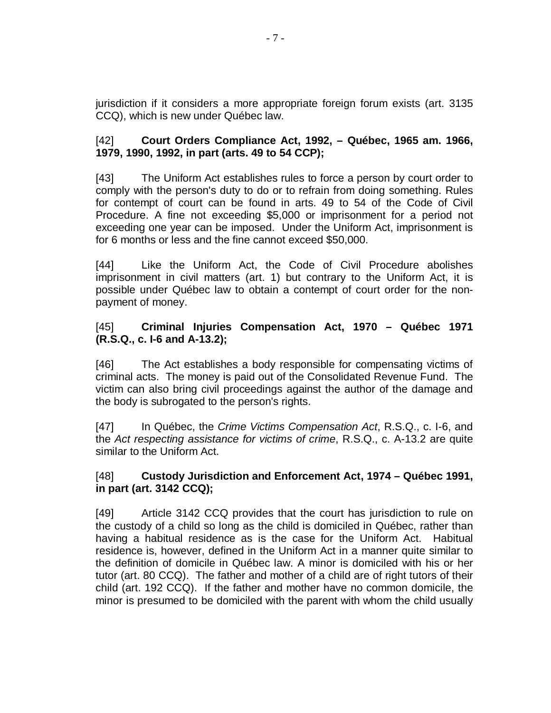jurisdiction if it considers a more appropriate foreign forum exists (art. 3135 CCQ), which is new under Québec law.

#### [42] **Court Orders Compliance Act, 1992, – Québec, 1965 am. 1966, 1979, 1990, 1992, in part (arts. 49 to 54 CCP);**

[43] The Uniform Act establishes rules to force a person by court order to comply with the person's duty to do or to refrain from doing something. Rules for contempt of court can be found in arts. 49 to 54 of the Code of Civil Procedure. A fine not exceeding \$5,000 or imprisonment for a period not exceeding one year can be imposed. Under the Uniform Act, imprisonment is for 6 months or less and the fine cannot exceed \$50,000.

[44] Like the Uniform Act, the Code of Civil Procedure abolishes imprisonment in civil matters (art. 1) but contrary to the Uniform Act, it is possible under Québec law to obtain a contempt of court order for the nonpayment of money.

#### [45] **Criminal Injuries Compensation Act, 1970 – Québec 1971 (R.S.Q., c. I-6 and A-13.2);**

[46] The Act establishes a body responsible for compensating victims of criminal acts. The money is paid out of the Consolidated Revenue Fund. The victim can also bring civil proceedings against the author of the damage and the body is subrogated to the person's rights.

[47] In Québec, the Crime Victims Compensation Act, R.S.Q., c. I-6, and the Act respecting assistance for victims of crime, R.S.Q., c. A-13.2 are quite similar to the Uniform Act.

#### [48] **Custody Jurisdiction and Enforcement Act, 1974 – Québec 1991, in part (art. 3142 CCQ);**

[49] Article 3142 CCQ provides that the court has jurisdiction to rule on the custody of a child so long as the child is domiciled in Québec, rather than having a habitual residence as is the case for the Uniform Act. Habitual residence is, however, defined in the Uniform Act in a manner quite similar to the definition of domicile in Québec law. A minor is domiciled with his or her tutor (art. 80 CCQ). The father and mother of a child are of right tutors of their child (art. 192 CCQ). If the father and mother have no common domicile, the minor is presumed to be domiciled with the parent with whom the child usually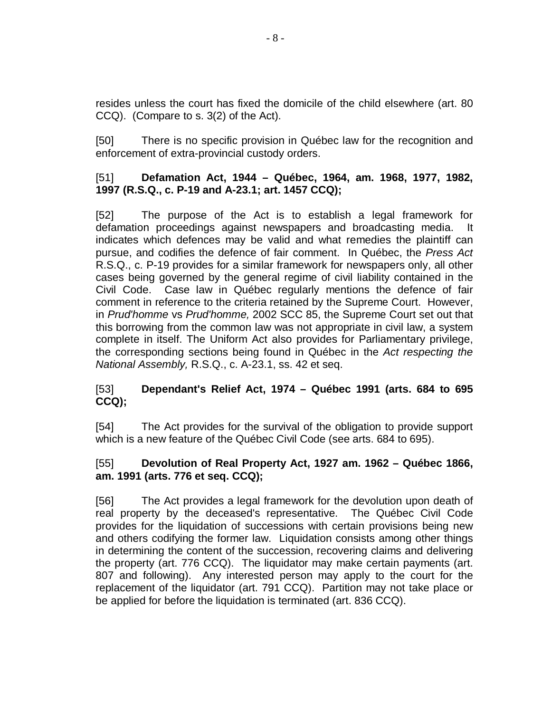resides unless the court has fixed the domicile of the child elsewhere (art. 80 CCQ). (Compare to s. 3(2) of the Act).

[50] There is no specific provision in Québec law for the recognition and enforcement of extra-provincial custody orders.

#### [51] **Defamation Act, 1944 – Québec, 1964, am. 1968, 1977, 1982, 1997 (R.S.Q., c. P-19 and A-23.1; art. 1457 CCQ);**

[52] The purpose of the Act is to establish a legal framework for defamation proceedings against newspapers and broadcasting media. It indicates which defences may be valid and what remedies the plaintiff can pursue, and codifies the defence of fair comment. In Québec, the Press Act R.S.Q., c. P-19 provides for a similar framework for newspapers only, all other cases being governed by the general regime of civil liability contained in the Civil Code. Case law in Québec regularly mentions the defence of fair comment in reference to the criteria retained by the Supreme Court. However, in Prud'homme vs Prud'homme, 2002 SCC 85, the Supreme Court set out that this borrowing from the common law was not appropriate in civil law, a system complete in itself. The Uniform Act also provides for Parliamentary privilege, the corresponding sections being found in Québec in the Act respecting the National Assembly, R.S.Q., c. A-23.1, ss. 42 et seq.

#### [53] **Dependant's Relief Act, 1974 – Québec 1991 (arts. 684 to 695 CCQ);**

[54] The Act provides for the survival of the obligation to provide support which is a new feature of the Québec Civil Code (see arts. 684 to 695).

#### [55] **Devolution of Real Property Act, 1927 am. 1962 – Québec 1866, am. 1991 (arts. 776 et seq. CCQ);**

[56] The Act provides a legal framework for the devolution upon death of real property by the deceased's representative. The Québec Civil Code provides for the liquidation of successions with certain provisions being new and others codifying the former law. Liquidation consists among other things in determining the content of the succession, recovering claims and delivering the property (art. 776 CCQ). The liquidator may make certain payments (art. 807 and following). Any interested person may apply to the court for the replacement of the liquidator (art. 791 CCQ). Partition may not take place or be applied for before the liquidation is terminated (art. 836 CCQ).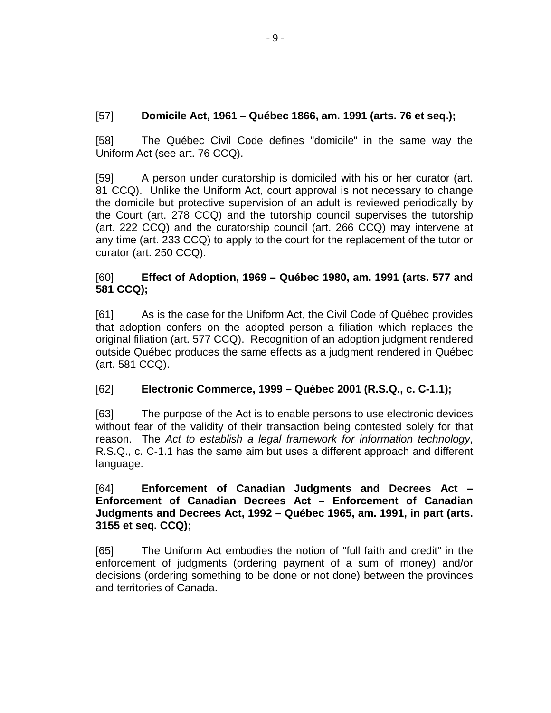# [57] **Domicile Act, 1961 – Québec 1866, am. 1991 (arts. 76 et seq.);**

[58] The Québec Civil Code defines "domicile" in the same way the Uniform Act (see art. 76 CCQ).

[59] A person under curatorship is domiciled with his or her curator (art. 81 CCQ). Unlike the Uniform Act, court approval is not necessary to change the domicile but protective supervision of an adult is reviewed periodically by the Court (art. 278 CCQ) and the tutorship council supervises the tutorship (art. 222 CCQ) and the curatorship council (art. 266 CCQ) may intervene at any time (art. 233 CCQ) to apply to the court for the replacement of the tutor or curator (art. 250 CCQ).

# [60] **Effect of Adoption, 1969 – Québec 1980, am. 1991 (arts. 577 and 581 CCQ);**

[61] As is the case for the Uniform Act, the Civil Code of Québec provides that adoption confers on the adopted person a filiation which replaces the original filiation (art. 577 CCQ). Recognition of an adoption judgment rendered outside Québec produces the same effects as a judgment rendered in Québec (art. 581 CCQ).

# [62] **Electronic Commerce, 1999 – Québec 2001 (R.S.Q., c. C-1.1);**

[63] The purpose of the Act is to enable persons to use electronic devices without fear of the validity of their transaction being contested solely for that reason. The Act to establish a legal framework for information technology, R.S.Q., c. C-1.1 has the same aim but uses a different approach and different language.

#### [64] **Enforcement of Canadian Judgments and Decrees Act – Enforcement of Canadian Decrees Act – Enforcement of Canadian Judgments and Decrees Act, 1992 – Québec 1965, am. 1991, in part (arts. 3155 et seq. CCQ);**

[65] The Uniform Act embodies the notion of "full faith and credit" in the enforcement of judgments (ordering payment of a sum of money) and/or decisions (ordering something to be done or not done) between the provinces and territories of Canada.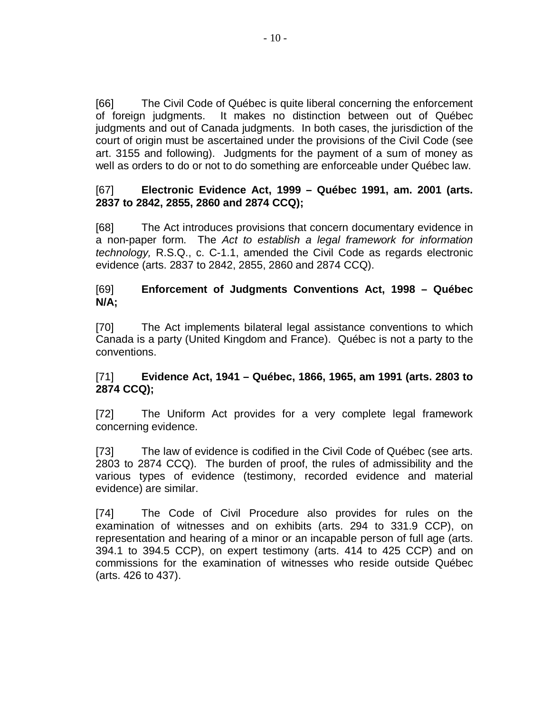[66] The Civil Code of Québec is quite liberal concerning the enforcement of foreign judgments. It makes no distinction between out of Québec judgments and out of Canada judgments. In both cases, the jurisdiction of the court of origin must be ascertained under the provisions of the Civil Code (see art. 3155 and following). Judgments for the payment of a sum of money as well as orders to do or not to do something are enforceable under Québec law.

#### [67] **Electronic Evidence Act, 1999 – Québec 1991, am. 2001 (arts. 2837 to 2842, 2855, 2860 and 2874 CCQ);**

[68] The Act introduces provisions that concern documentary evidence in a non-paper form. The Act to establish a legal framework for information technology, R.S.Q., c. C-1.1, amended the Civil Code as regards electronic evidence (arts. 2837 to 2842, 2855, 2860 and 2874 CCQ).

# [69] **Enforcement of Judgments Conventions Act, 1998 – Québec N/A;**

[70] The Act implements bilateral legal assistance conventions to which Canada is a party (United Kingdom and France). Québec is not a party to the conventions.

#### [71] **Evidence Act, 1941 – Québec, 1866, 1965, am 1991 (arts. 2803 to 2874 CCQ);**

[72] The Uniform Act provides for a very complete legal framework concerning evidence.

[73] The law of evidence is codified in the Civil Code of Québec (see arts. 2803 to 2874 CCQ). The burden of proof, the rules of admissibility and the various types of evidence (testimony, recorded evidence and material evidence) are similar.

[74] The Code of Civil Procedure also provides for rules on the examination of witnesses and on exhibits (arts. 294 to 331.9 CCP), on representation and hearing of a minor or an incapable person of full age (arts. 394.1 to 394.5 CCP), on expert testimony (arts. 414 to 425 CCP) and on commissions for the examination of witnesses who reside outside Québec (arts. 426 to 437).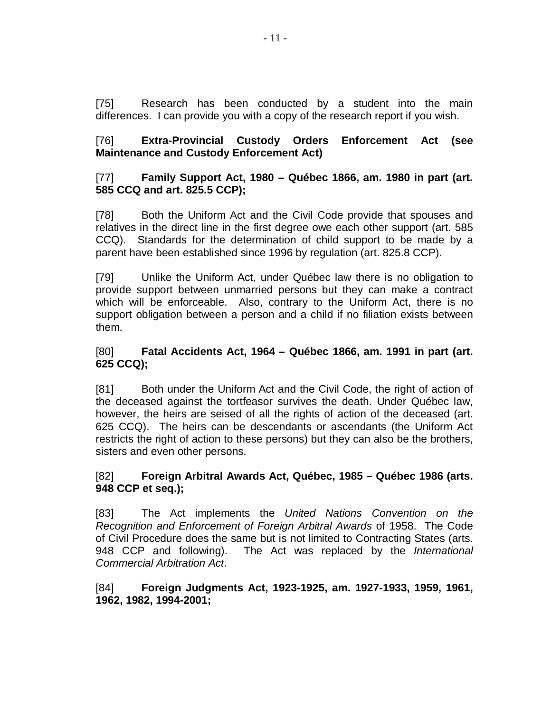[75] Research has been conducted by a student into the main differences. I can provide you with a copy of the research report if you wish.

#### [76] **Extra-Provincial Custody Orders Enforcement Act (see Maintenance and Custody Enforcement Act)**

#### [77] **Family Support Act, 1980 – Québec 1866, am. 1980 in part (art. 585 CCQ and art. 825.5 CCP);**

[78] Both the Uniform Act and the Civil Code provide that spouses and relatives in the direct line in the first degree owe each other support (art. 585 CCQ). Standards for the determination of child support to be made by a parent have been established since 1996 by regulation (art. 825.8 CCP).

[79] Unlike the Uniform Act, under Québec law there is no obligation to provide support between unmarried persons but they can make a contract which will be enforceable. Also, contrary to the Uniform Act, there is no support obligation between a person and a child if no filiation exists between them.

#### [80] **Fatal Accidents Act, 1964 – Québec 1866, am. 1991 in part (art. 625 CCQ);**

[81] Both under the Uniform Act and the Civil Code, the right of action of the deceased against the tortfeasor survives the death. Under Québec law, however, the heirs are seised of all the rights of action of the deceased (art. 625 CCQ). The heirs can be descendants or ascendants (the Uniform Act restricts the right of action to these persons) but they can also be the brothers, sisters and even other persons.

#### [82] **Foreign Arbitral Awards Act, Québec, 1985 – Québec 1986 (arts. 948 CCP et seq.);**

[83] The Act implements the United Nations Convention on the Recognition and Enforcement of Foreign Arbitral Awards of 1958. The Code of Civil Procedure does the same but is not limited to Contracting States (arts. 948 CCP and following). The Act was replaced by the International Commercial Arbitration Act.

#### [84] **Foreign Judgments Act, 1923-1925, am. 1927-1933, 1959, 1961, 1962, 1982, 1994-2001;**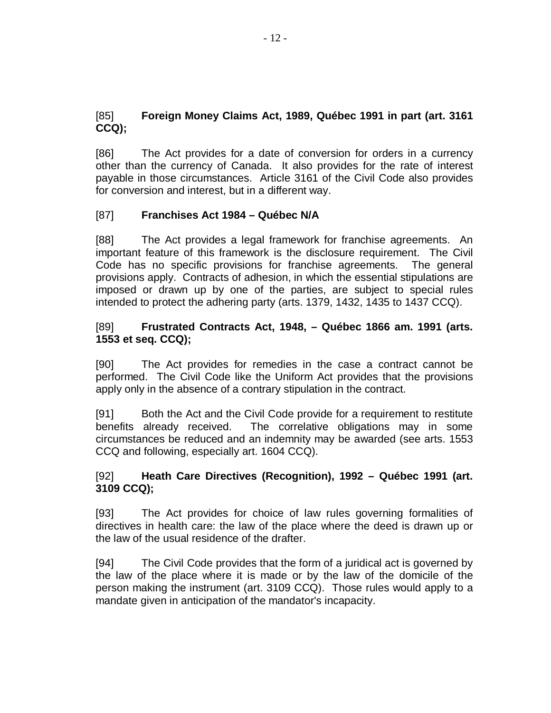# [85] **Foreign Money Claims Act, 1989, Québec 1991 in part (art. 3161 CCQ);**

[86] The Act provides for a date of conversion for orders in a currency other than the currency of Canada. It also provides for the rate of interest payable in those circumstances. Article 3161 of the Civil Code also provides for conversion and interest, but in a different way.

#### [87] **Franchises Act 1984 – Québec N/A**

[88] The Act provides a legal framework for franchise agreements. An important feature of this framework is the disclosure requirement. The Civil Code has no specific provisions for franchise agreements. The general provisions apply. Contracts of adhesion, in which the essential stipulations are imposed or drawn up by one of the parties, are subject to special rules intended to protect the adhering party (arts. 1379, 1432, 1435 to 1437 CCQ).

#### [89] **Frustrated Contracts Act, 1948, – Québec 1866 am. 1991 (arts. 1553 et seq. CCQ);**

[90] The Act provides for remedies in the case a contract cannot be performed. The Civil Code like the Uniform Act provides that the provisions apply only in the absence of a contrary stipulation in the contract.

[91] Both the Act and the Civil Code provide for a requirement to restitute benefits already received. The correlative obligations may in some circumstances be reduced and an indemnity may be awarded (see arts. 1553 CCQ and following, especially art. 1604 CCQ).

#### [92] **Heath Care Directives (Recognition), 1992 – Québec 1991 (art. 3109 CCQ);**

[93] The Act provides for choice of law rules governing formalities of directives in health care: the law of the place where the deed is drawn up or the law of the usual residence of the drafter.

[94] The Civil Code provides that the form of a juridical act is governed by the law of the place where it is made or by the law of the domicile of the person making the instrument (art. 3109 CCQ). Those rules would apply to a mandate given in anticipation of the mandator's incapacity.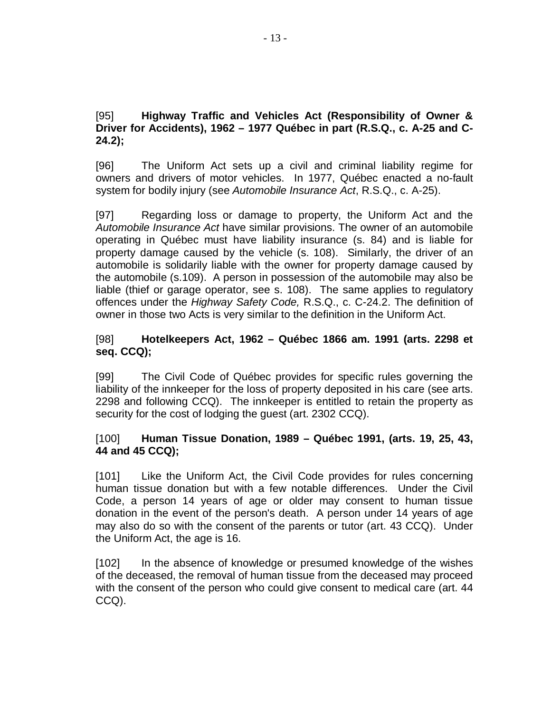#### [95] **Highway Traffic and Vehicles Act (Responsibility of Owner & Driver for Accidents), 1962 – 1977 Québec in part (R.S.Q., c. A-25 and C-24.2);**

[96] The Uniform Act sets up a civil and criminal liability regime for owners and drivers of motor vehicles. In 1977, Québec enacted a no-fault system for bodily injury (see Automobile Insurance Act, R.S.Q., c. A-25).

[97] Regarding loss or damage to property, the Uniform Act and the Automobile Insurance Act have similar provisions. The owner of an automobile operating in Québec must have liability insurance (s. 84) and is liable for property damage caused by the vehicle (s. 108). Similarly, the driver of an automobile is solidarily liable with the owner for property damage caused by the automobile (s.109). A person in possession of the automobile may also be liable (thief or garage operator, see s. 108). The same applies to regulatory offences under the Highway Safety Code, R.S.Q., c. C-24.2. The definition of owner in those two Acts is very similar to the definition in the Uniform Act.

# [98] **Hotelkeepers Act, 1962 – Québec 1866 am. 1991 (arts. 2298 et seq. CCQ);**

[99] The Civil Code of Québec provides for specific rules governing the liability of the innkeeper for the loss of property deposited in his care (see arts. 2298 and following CCQ). The innkeeper is entitled to retain the property as security for the cost of lodging the guest (art. 2302 CCQ).

#### [100] **Human Tissue Donation, 1989 – Québec 1991, (arts. 19, 25, 43, 44 and 45 CCQ);**

[101] Like the Uniform Act, the Civil Code provides for rules concerning human tissue donation but with a few notable differences. Under the Civil Code, a person 14 years of age or older may consent to human tissue donation in the event of the person's death. A person under 14 years of age may also do so with the consent of the parents or tutor (art. 43 CCQ). Under the Uniform Act, the age is 16.

[102] In the absence of knowledge or presumed knowledge of the wishes of the deceased, the removal of human tissue from the deceased may proceed with the consent of the person who could give consent to medical care (art. 44 CCQ).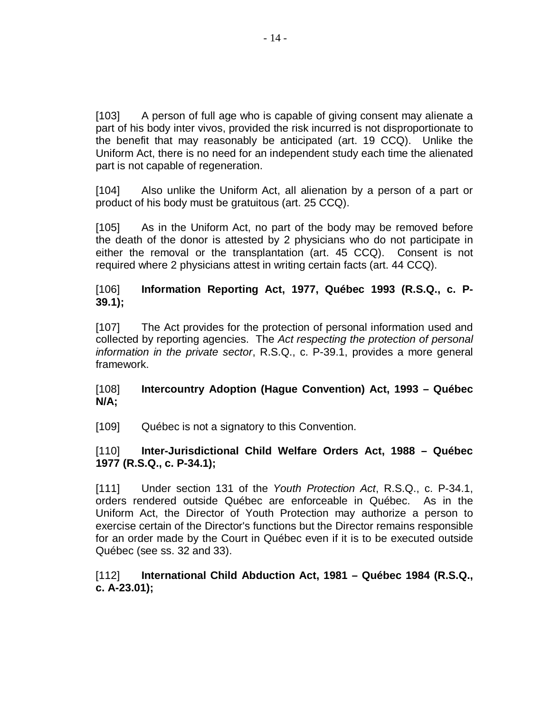[103] A person of full age who is capable of giving consent may alienate a part of his body inter vivos, provided the risk incurred is not disproportionate to the benefit that may reasonably be anticipated (art. 19 CCQ). Unlike the Uniform Act, there is no need for an independent study each time the alienated part is not capable of regeneration.

[104] Also unlike the Uniform Act, all alienation by a person of a part or product of his body must be gratuitous (art. 25 CCQ).

[105] As in the Uniform Act, no part of the body may be removed before the death of the donor is attested by 2 physicians who do not participate in either the removal or the transplantation (art. 45 CCQ). Consent is not required where 2 physicians attest in writing certain facts (art. 44 CCQ).

# [106] **Information Reporting Act, 1977, Québec 1993 (R.S.Q., c. P-39.1);**

[107] The Act provides for the protection of personal information used and collected by reporting agencies. The Act respecting the protection of personal information in the private sector, R.S.Q., c. P-39.1, provides a more general framework.

#### [108] **Intercountry Adoption (Hague Convention) Act, 1993 – Québec N/A;**

[109] Québec is not a signatory to this Convention.

#### [110] **Inter-Jurisdictional Child Welfare Orders Act, 1988 – Québec 1977 (R.S.Q., c. P-34.1);**

[111] Under section 131 of the Youth Protection Act, R.S.Q., c. P-34.1, orders rendered outside Québec are enforceable in Québec. As in the Uniform Act, the Director of Youth Protection may authorize a person to exercise certain of the Director's functions but the Director remains responsible for an order made by the Court in Québec even if it is to be executed outside Québec (see ss. 32 and 33).

#### [112] **International Child Abduction Act, 1981 – Québec 1984 (R.S.Q., c. A-23.01);**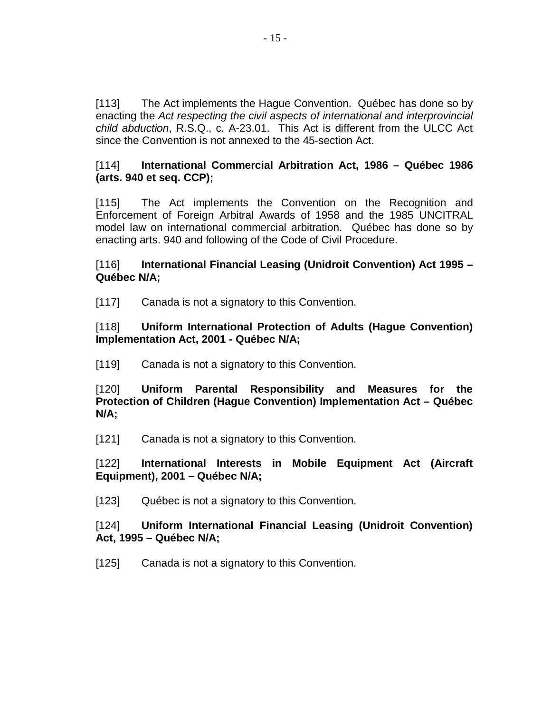[113] The Act implements the Hague Convention. Québec has done so by enacting the Act respecting the civil aspects of international and interprovincial child abduction, R.S.Q., c. A-23.01. This Act is different from the ULCC Act since the Convention is not annexed to the 45-section Act.

#### [114] **International Commercial Arbitration Act, 1986 – Québec 1986 (arts. 940 et seq. CCP);**

[115] The Act implements the Convention on the Recognition and Enforcement of Foreign Arbitral Awards of 1958 and the 1985 UNCITRAL model law on international commercial arbitration. Québec has done so by enacting arts. 940 and following of the Code of Civil Procedure.

#### [116] **International Financial Leasing (Unidroit Convention) Act 1995 – Québec N/A;**

[117] Canada is not a signatory to this Convention.

#### [118] **Uniform International Protection of Adults (Hague Convention) Implementation Act, 2001 - Québec N/A;**

[119] Canada is not a signatory to this Convention.

[120] **Uniform Parental Responsibility and Measures for the Protection of Children (Hague Convention) Implementation Act – Québec N/A;**

[121] Canada is not a signatory to this Convention.

[122] **International Interests in Mobile Equipment Act (Aircraft Equipment), 2001 – Québec N/A;**

[123] Québec is not a signatory to this Convention.

#### [124] **Uniform International Financial Leasing (Unidroit Convention) Act, 1995 – Québec N/A;**

[125] Canada is not a signatory to this Convention.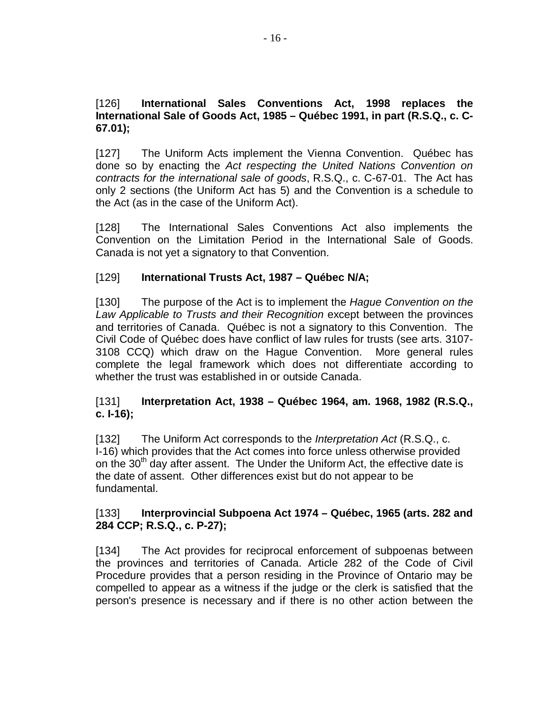#### [126] **International Sales Conventions Act, 1998 replaces the International Sale of Goods Act, 1985 – Québec 1991, in part (R.S.Q., c. C-67.01);**

[127] The Uniform Acts implement the Vienna Convention. Québec has done so by enacting the Act respecting the United Nations Convention on contracts for the international sale of goods, R.S.Q., c. C-67-01. The Act has only 2 sections (the Uniform Act has 5) and the Convention is a schedule to the Act (as in the case of the Uniform Act).

[128] The International Sales Conventions Act also implements the Convention on the Limitation Period in the International Sale of Goods. Canada is not yet a signatory to that Convention.

# [129] **International Trusts Act, 1987 – Québec N/A;**

[130] The purpose of the Act is to implement the *Hague Convention on the* Law Applicable to Trusts and their Recognition except between the provinces and territories of Canada. Québec is not a signatory to this Convention. The Civil Code of Québec does have conflict of law rules for trusts (see arts. 3107- 3108 CCQ) which draw on the Hague Convention. More general rules complete the legal framework which does not differentiate according to whether the trust was established in or outside Canada.

#### [131] **Interpretation Act, 1938 – Québec 1964, am. 1968, 1982 (R.S.Q., c. I-16);**

[132] The Uniform Act corresponds to the *Interpretation Act* (R.S.Q., c. I-16) which provides that the Act comes into force unless otherwise provided on the 30<sup>th</sup> day after assent. The Under the Uniform Act, the effective date is the date of assent. Other differences exist but do not appear to be fundamental.

#### [133] **Interprovincial Subpoena Act 1974 – Québec, 1965 (arts. 282 and 284 CCP; R.S.Q., c. P-27);**

[134] The Act provides for reciprocal enforcement of subpoenas between the provinces and territories of Canada. Article 282 of the Code of Civil Procedure provides that a person residing in the Province of Ontario may be compelled to appear as a witness if the judge or the clerk is satisfied that the person's presence is necessary and if there is no other action between the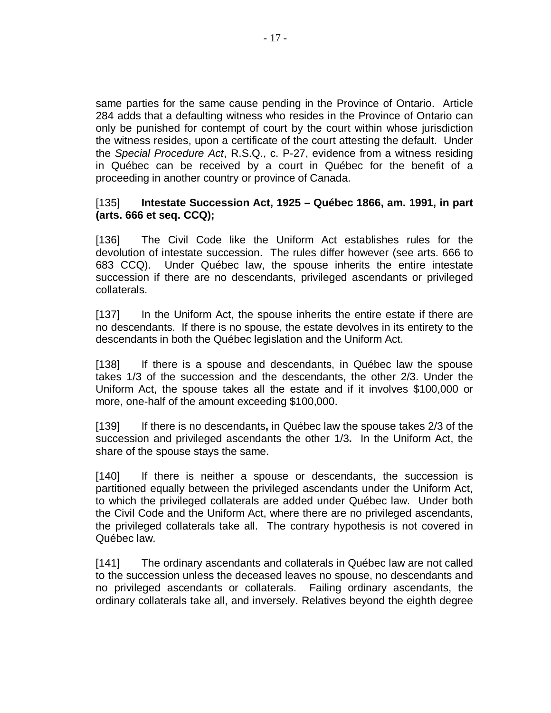same parties for the same cause pending in the Province of Ontario. Article 284 adds that a defaulting witness who resides in the Province of Ontario can only be punished for contempt of court by the court within whose jurisdiction the witness resides, upon a certificate of the court attesting the default. Under the Special Procedure Act, R.S.Q., c. P-27, evidence from a witness residing in Québec can be received by a court in Québec for the benefit of a proceeding in another country or province of Canada.

#### [135] **Intestate Succession Act, 1925 – Québec 1866, am. 1991, in part (arts. 666 et seq. CCQ);**

[136] The Civil Code like the Uniform Act establishes rules for the devolution of intestate succession. The rules differ however (see arts. 666 to 683 CCQ). Under Québec law, the spouse inherits the entire intestate succession if there are no descendants, privileged ascendants or privileged collaterals.

[137] In the Uniform Act, the spouse inherits the entire estate if there are no descendants. If there is no spouse, the estate devolves in its entirety to the descendants in both the Québec legislation and the Uniform Act.

[138] If there is a spouse and descendants, in Québec law the spouse takes 1/3 of the succession and the descendants, the other 2/3. Under the Uniform Act, the spouse takes all the estate and if it involves \$100,000 or more, one-half of the amount exceeding \$100,000.

[139] If there is no descendants**,** in Québec law the spouse takes 2/3 of the succession and privileged ascendants the other 1/3**.** In the Uniform Act, the share of the spouse stays the same.

[140] If there is neither a spouse or descendants, the succession is partitioned equally between the privileged ascendants under the Uniform Act, to which the privileged collaterals are added under Québec law. Under both the Civil Code and the Uniform Act, where there are no privileged ascendants, the privileged collaterals take all. The contrary hypothesis is not covered in Québec law.

[141] The ordinary ascendants and collaterals in Québec law are not called to the succession unless the deceased leaves no spouse, no descendants and no privileged ascendants or collaterals. Failing ordinary ascendants, the ordinary collaterals take all, and inversely. Relatives beyond the eighth degree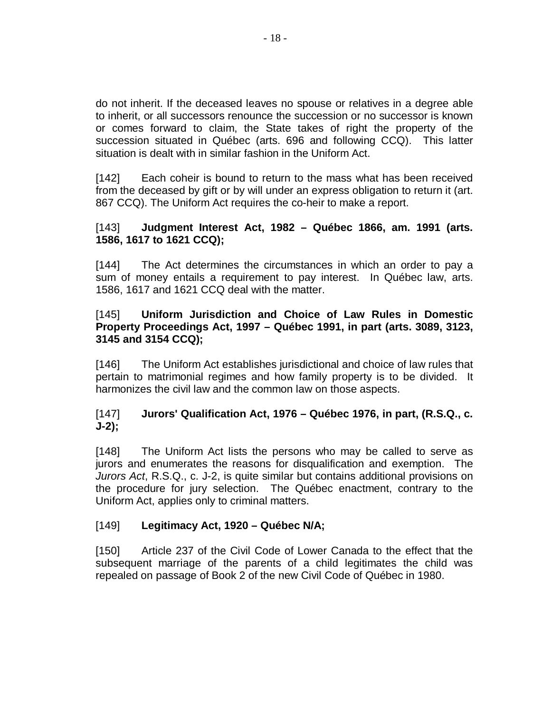do not inherit. If the deceased leaves no spouse or relatives in a degree able to inherit, or all successors renounce the succession or no successor is known or comes forward to claim, the State takes of right the property of the succession situated in Québec (arts. 696 and following CCQ). This latter situation is dealt with in similar fashion in the Uniform Act.

[142] Each coheir is bound to return to the mass what has been received from the deceased by gift or by will under an express obligation to return it (art. 867 CCQ). The Uniform Act requires the co-heir to make a report.

#### [143] **Judgment Interest Act, 1982 – Québec 1866, am. 1991 (arts. 1586, 1617 to 1621 CCQ);**

[144] The Act determines the circumstances in which an order to pay a sum of money entails a requirement to pay interest. In Québec law, arts. 1586, 1617 and 1621 CCQ deal with the matter.

#### [145] **Uniform Jurisdiction and Choice of Law Rules in Domestic Property Proceedings Act, 1997 – Québec 1991, in part (arts. 3089, 3123, 3145 and 3154 CCQ);**

[146] The Uniform Act establishes jurisdictional and choice of law rules that pertain to matrimonial regimes and how family property is to be divided. It harmonizes the civil law and the common law on those aspects.

# [147] **Jurors' Qualification Act, 1976 – Québec 1976, in part, (R.S.Q., c. J-2);**

[148] The Uniform Act lists the persons who may be called to serve as jurors and enumerates the reasons for disqualification and exemption. The Jurors Act, R.S.Q., c. J-2, is quite similar but contains additional provisions on the procedure for jury selection. The Québec enactment, contrary to the Uniform Act, applies only to criminal matters.

# [149] **Legitimacy Act, 1920 – Québec N/A;**

[150] Article 237 of the Civil Code of Lower Canada to the effect that the subsequent marriage of the parents of a child legitimates the child was repealed on passage of Book 2 of the new Civil Code of Québec in 1980.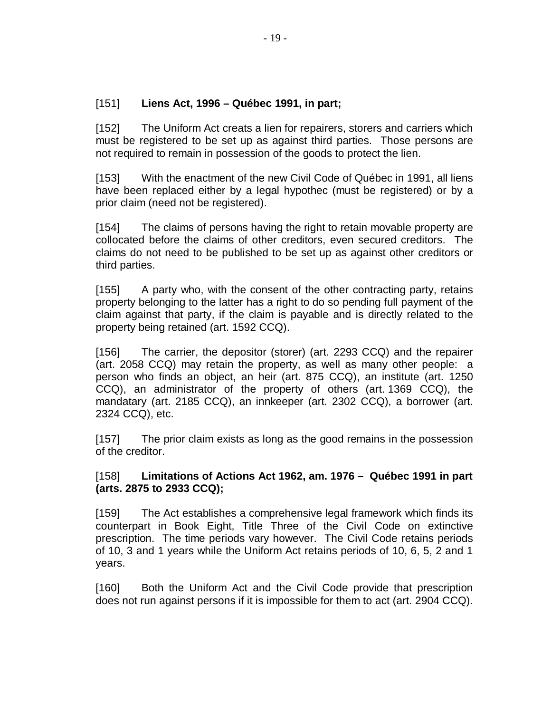#### [151] **Liens Act, 1996 – Québec 1991, in part;**

[152] The Uniform Act creats a lien for repairers, storers and carriers which must be registered to be set up as against third parties. Those persons are not required to remain in possession of the goods to protect the lien.

[153] With the enactment of the new Civil Code of Québec in 1991, all liens have been replaced either by a legal hypothec (must be registered) or by a prior claim (need not be registered).

[154] The claims of persons having the right to retain movable property are collocated before the claims of other creditors, even secured creditors. The claims do not need to be published to be set up as against other creditors or third parties.

[155] A party who, with the consent of the other contracting party, retains property belonging to the latter has a right to do so pending full payment of the claim against that party, if the claim is payable and is directly related to the property being retained (art. 1592 CCQ).

[156] The carrier, the depositor (storer) (art. 2293 CCQ) and the repairer (art. 2058 CCQ) may retain the property, as well as many other people: a person who finds an object, an heir (art. 875 CCQ), an institute (art. 1250 CCQ), an administrator of the property of others (art. 1369 CCQ), the mandatary (art. 2185 CCQ), an innkeeper (art. 2302 CCQ), a borrower (art. 2324 CCQ), etc.

[157] The prior claim exists as long as the good remains in the possession of the creditor.

#### [158] **Limitations of Actions Act 1962, am. 1976 – Québec 1991 in part (arts. 2875 to 2933 CCQ);**

[159] The Act establishes a comprehensive legal framework which finds its counterpart in Book Eight, Title Three of the Civil Code on extinctive prescription. The time periods vary however. The Civil Code retains periods of 10, 3 and 1 years while the Uniform Act retains periods of 10, 6, 5, 2 and 1 years.

[160] Both the Uniform Act and the Civil Code provide that prescription does not run against persons if it is impossible for them to act (art. 2904 CCQ).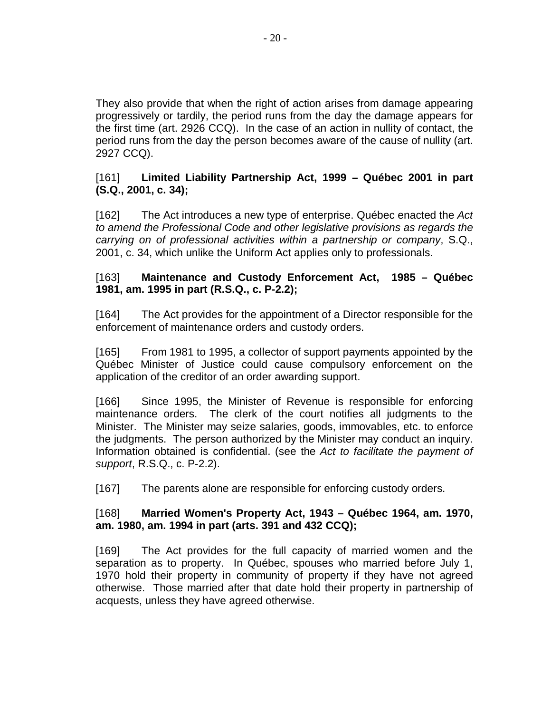They also provide that when the right of action arises from damage appearing progressively or tardily, the period runs from the day the damage appears for the first time (art. 2926 CCQ). In the case of an action in nullity of contact, the period runs from the day the person becomes aware of the cause of nullity (art. 2927 CCQ).

[161] **Limited Liability Partnership Act, 1999 – Québec 2001 in part (S.Q., 2001, c. 34);**

[162] The Act introduces a new type of enterprise. Québec enacted the Act to amend the Professional Code and other legislative provisions as regards the carrying on of professional activities within a partnership or company, S.Q., 2001, c. 34, which unlike the Uniform Act applies only to professionals.

#### [163] **Maintenance and Custody Enforcement Act, 1985 – Québec 1981, am. 1995 in part (R.S.Q., c. P-2.2);**

[164] The Act provides for the appointment of a Director responsible for the enforcement of maintenance orders and custody orders.

[165] From 1981 to 1995, a collector of support payments appointed by the Québec Minister of Justice could cause compulsory enforcement on the application of the creditor of an order awarding support.

[166] Since 1995, the Minister of Revenue is responsible for enforcing maintenance orders. The clerk of the court notifies all judgments to the Minister. The Minister may seize salaries, goods, immovables, etc. to enforce the judgments. The person authorized by the Minister may conduct an inquiry. Information obtained is confidential. (see the Act to facilitate the payment of support, R.S.Q., c. P-2.2).

[167] The parents alone are responsible for enforcing custody orders.

#### [168] **Married Women's Property Act, 1943 – Québec 1964, am. 1970, am. 1980, am. 1994 in part (arts. 391 and 432 CCQ);**

[169] The Act provides for the full capacity of married women and the separation as to property. In Québec, spouses who married before July 1, 1970 hold their property in community of property if they have not agreed otherwise. Those married after that date hold their property in partnership of acquests, unless they have agreed otherwise.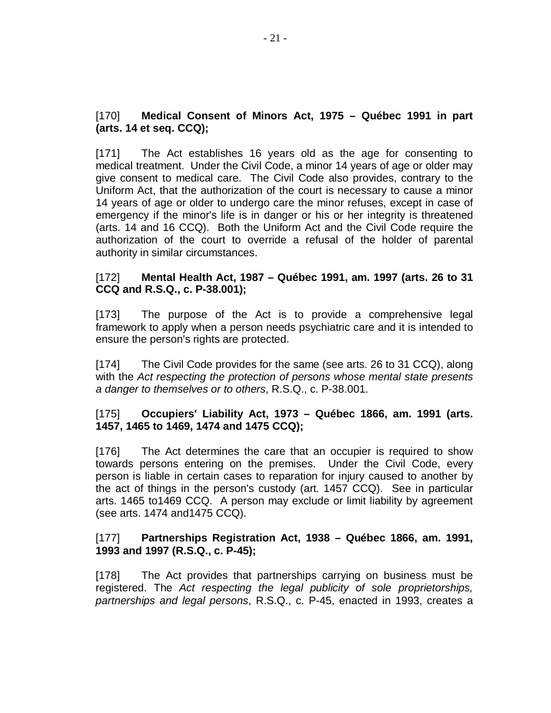#### [170] **Medical Consent of Minors Act, 1975 – Québec 1991 in part (arts. 14 et seq. CCQ);**

[171] The Act establishes 16 years old as the age for consenting to medical treatment. Under the Civil Code, a minor 14 years of age or older may give consent to medical care. The Civil Code also provides, contrary to the Uniform Act, that the authorization of the court is necessary to cause a minor 14 years of age or older to undergo care the minor refuses, except in case of emergency if the minor's life is in danger or his or her integrity is threatened (arts. 14 and 16 CCQ). Both the Uniform Act and the Civil Code require the authorization of the court to override a refusal of the holder of parental authority in similar circumstances.

#### [172] **Mental Health Act, 1987 – Québec 1991, am. 1997 (arts. 26 to 31 CCQ and R.S.Q., c. P-38.001);**

[173] The purpose of the Act is to provide a comprehensive legal framework to apply when a person needs psychiatric care and it is intended to ensure the person's rights are protected.

[174] The Civil Code provides for the same (see arts. 26 to 31 CCQ), along with the Act respecting the protection of persons whose mental state presents a danger to themselves or to others, R.S.Q., c. P-38.001.

#### [175] **Occupiers' Liability Act, 1973 – Québec 1866, am. 1991 (arts. 1457, 1465 to 1469, 1474 and 1475 CCQ);**

[176] The Act determines the care that an occupier is required to show towards persons entering on the premises. Under the Civil Code, every person is liable in certain cases to reparation for injury caused to another by the act of things in the person's custody (art. 1457 CCQ). See in particular arts. 1465 to1469 CCQ. A person may exclude or limit liability by agreement (see arts. 1474 and1475 CCQ).

#### [177] **Partnerships Registration Act, 1938 – Québec 1866, am. 1991, 1993 and 1997 (R.S.Q., c. P-45);**

[178] The Act provides that partnerships carrying on business must be registered. The Act respecting the legal publicity of sole proprietorships, partnerships and legal persons, R.S.Q., c. P-45, enacted in 1993, creates a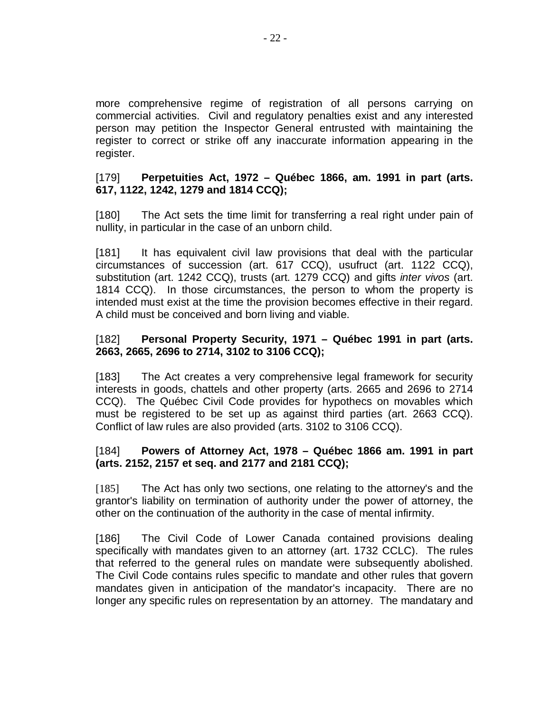more comprehensive regime of registration of all persons carrying on commercial activities. Civil and regulatory penalties exist and any interested person may petition the Inspector General entrusted with maintaining the register to correct or strike off any inaccurate information appearing in the register.

#### [179] **Perpetuities Act, 1972 – Québec 1866, am. 1991 in part (arts. 617, 1122, 1242, 1279 and 1814 CCQ);**

[180] The Act sets the time limit for transferring a real right under pain of nullity, in particular in the case of an unborn child.

[181] It has equivalent civil law provisions that deal with the particular circumstances of succession (art. 617 CCQ), usufruct (art. 1122 CCQ), substitution (art. 1242 CCQ), trusts (art. 1279 CCQ) and gifts inter vivos (art. 1814 CCQ). In those circumstances, the person to whom the property is intended must exist at the time the provision becomes effective in their regard. A child must be conceived and born living and viable.

#### [182] **Personal Property Security, 1971 – Québec 1991 in part (arts. 2663, 2665, 2696 to 2714, 3102 to 3106 CCQ);**

[183] The Act creates a very comprehensive legal framework for security interests in goods, chattels and other property (arts. 2665 and 2696 to 2714 CCQ). The Québec Civil Code provides for hypothecs on movables which must be registered to be set up as against third parties (art. 2663 CCQ). Conflict of law rules are also provided (arts. 3102 to 3106 CCQ).

#### [184] **Powers of Attorney Act, 1978 – Québec 1866 am. 1991 in part (arts. 2152, 2157 et seq. and 2177 and 2181 CCQ);**

[185] The Act has only two sections, one relating to the attorney's and the grantor's liability on termination of authority under the power of attorney, the other on the continuation of the authority in the case of mental infirmity.

[186] The Civil Code of Lower Canada contained provisions dealing specifically with mandates given to an attorney (art. 1732 CCLC). The rules that referred to the general rules on mandate were subsequently abolished. The Civil Code contains rules specific to mandate and other rules that govern mandates given in anticipation of the mandator's incapacity. There are no longer any specific rules on representation by an attorney. The mandatary and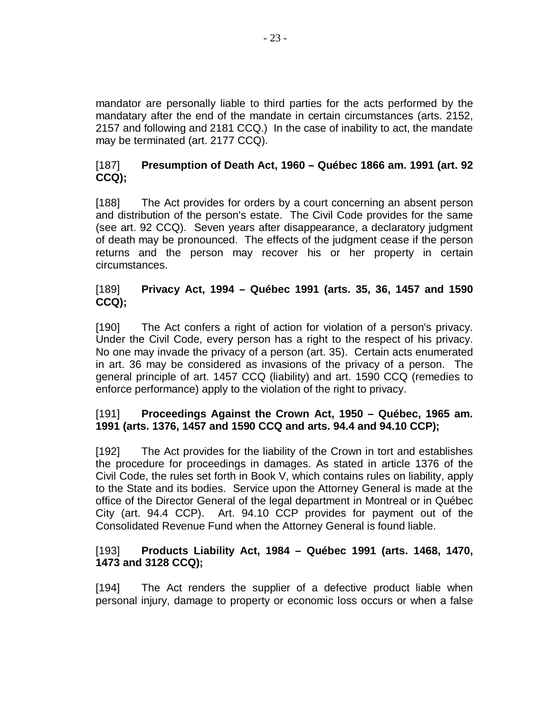mandator are personally liable to third parties for the acts performed by the mandatary after the end of the mandate in certain circumstances (arts. 2152, 2157 and following and 2181 CCQ.) In the case of inability to act, the mandate may be terminated (art. 2177 CCQ).

# [187] **Presumption of Death Act, 1960 – Québec 1866 am. 1991 (art. 92 CCQ);**

[188] The Act provides for orders by a court concerning an absent person and distribution of the person's estate. The Civil Code provides for the same (see art. 92 CCQ). Seven years after disappearance, a declaratory judgment of death may be pronounced. The effects of the judgment cease if the person returns and the person may recover his or her property in certain circumstances.

# [189] **Privacy Act, 1994 – Québec 1991 (arts. 35, 36, 1457 and 1590 CCQ);**

[190] The Act confers a right of action for violation of a person's privacy. Under the Civil Code, every person has a right to the respect of his privacy. No one may invade the privacy of a person (art. 35). Certain acts enumerated in art. 36 may be considered as invasions of the privacy of a person. The general principle of art. 1457 CCQ (liability) and art. 1590 CCQ (remedies to enforce performance) apply to the violation of the right to privacy.

# [191] **Proceedings Against the Crown Act, 1950 – Québec, 1965 am. 1991 (arts. 1376, 1457 and 1590 CCQ and arts. 94.4 and 94.10 CCP);**

[192] The Act provides for the liability of the Crown in tort and establishes the procedure for proceedings in damages. As stated in article 1376 of the Civil Code, the rules set forth in Book V, which contains rules on liability, apply to the State and its bodies. Service upon the Attorney General is made at the office of the Director General of the legal department in Montreal or in Québec City (art. 94.4 CCP). Art. 94.10 CCP provides for payment out of the Consolidated Revenue Fund when the Attorney General is found liable.

# [193] **Products Liability Act, 1984 – Québec 1991 (arts. 1468, 1470, 1473 and 3128 CCQ);**

[194] The Act renders the supplier of a defective product liable when personal injury, damage to property or economic loss occurs or when a false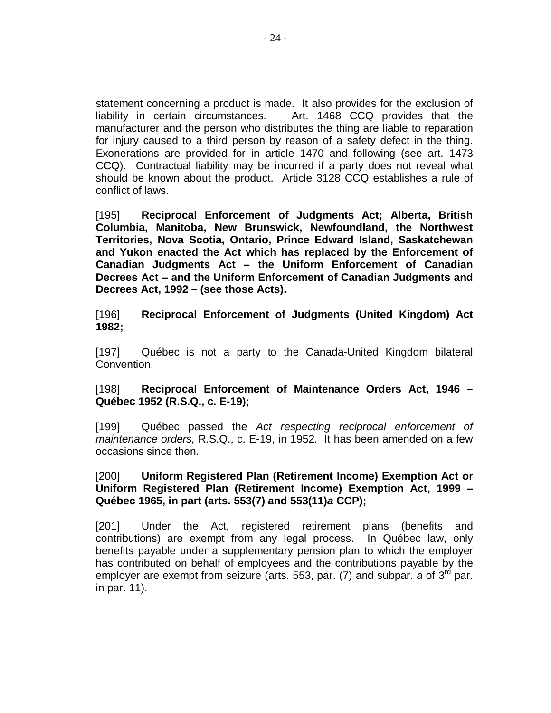statement concerning a product is made. It also provides for the exclusion of liability in certain circumstances. Art. 1468 CCQ provides that the manufacturer and the person who distributes the thing are liable to reparation for injury caused to a third person by reason of a safety defect in the thing. Exonerations are provided for in article 1470 and following (see art. 1473 CCQ). Contractual liability may be incurred if a party does not reveal what should be known about the product. Article 3128 CCQ establishes a rule of conflict of laws.

[195] **Reciprocal Enforcement of Judgments Act; Alberta, British Columbia, Manitoba, New Brunswick, Newfoundland, the Northwest Territories, Nova Scotia, Ontario, Prince Edward Island, Saskatchewan and Yukon enacted the Act which has replaced by the Enforcement of Canadian Judgments Act – the Uniform Enforcement of Canadian Decrees Act – and the Uniform Enforcement of Canadian Judgments and Decrees Act, 1992 – (see those Acts).**

[196] **Reciprocal Enforcement of Judgments (United Kingdom) Act 1982;**

[197] Québec is not a party to the Canada-United Kingdom bilateral Convention.

[198] **Reciprocal Enforcement of Maintenance Orders Act, 1946 – Québec 1952 (R.S.Q., c. E-19);**

[199] Québec passed the Act respecting reciprocal enforcement of maintenance orders, R.S.Q., c. E-19, in 1952. It has been amended on a few occasions since then.

#### [200] **Uniform Registered Plan (Retirement Income) Exemption Act or Uniform Registered Plan (Retirement Income) Exemption Act, 1999 – Québec 1965, in part (arts. 553(7) and 553(11)a CCP);**

[201] Under the Act, registered retirement plans (benefits and contributions) are exempt from any legal process. In Québec law, only benefits payable under a supplementary pension plan to which the employer has contributed on behalf of employees and the contributions payable by the employer are exempt from seizure (arts. 553, par. (7) and subpar. a of  $3^{\text{rd}}$  par. in par. 11).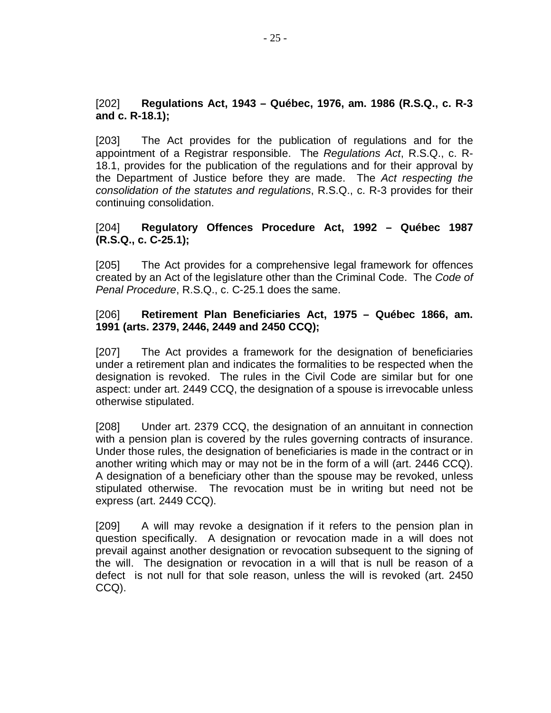#### [202] **Regulations Act, 1943 – Québec, 1976, am. 1986 (R.S.Q., c. R-3 and c. R-18.1);**

[203] The Act provides for the publication of regulations and for the appointment of a Registrar responsible. The Regulations Act, R.S.Q., c. R-18.1, provides for the publication of the regulations and for their approval by the Department of Justice before they are made. The Act respecting the consolidation of the statutes and regulations, R.S.Q., c. R-3 provides for their continuing consolidation.

#### [204] **Regulatory Offences Procedure Act, 1992 – Québec 1987 (R.S.Q., c. C-25.1);**

[205] The Act provides for a comprehensive legal framework for offences created by an Act of the legislature other than the Criminal Code. The Code of Penal Procedure, R.S.Q., c. C-25.1 does the same.

#### [206] **Retirement Plan Beneficiaries Act, 1975 – Québec 1866, am. 1991 (arts. 2379, 2446, 2449 and 2450 CCQ);**

[207] The Act provides a framework for the designation of beneficiaries under a retirement plan and indicates the formalities to be respected when the designation is revoked. The rules in the Civil Code are similar but for one aspect: under art. 2449 CCQ, the designation of a spouse is irrevocable unless otherwise stipulated.

[208] Under art. 2379 CCQ, the designation of an annuitant in connection with a pension plan is covered by the rules governing contracts of insurance. Under those rules, the designation of beneficiaries is made in the contract or in another writing which may or may not be in the form of a will (art. 2446 CCQ). A designation of a beneficiary other than the spouse may be revoked, unless stipulated otherwise. The revocation must be in writing but need not be express (art. 2449 CCQ).

[209] A will may revoke a designation if it refers to the pension plan in question specifically. A designation or revocation made in a will does not prevail against another designation or revocation subsequent to the signing of the will. The designation or revocation in a will that is null be reason of a defect is not null for that sole reason, unless the will is revoked (art. 2450 CCQ).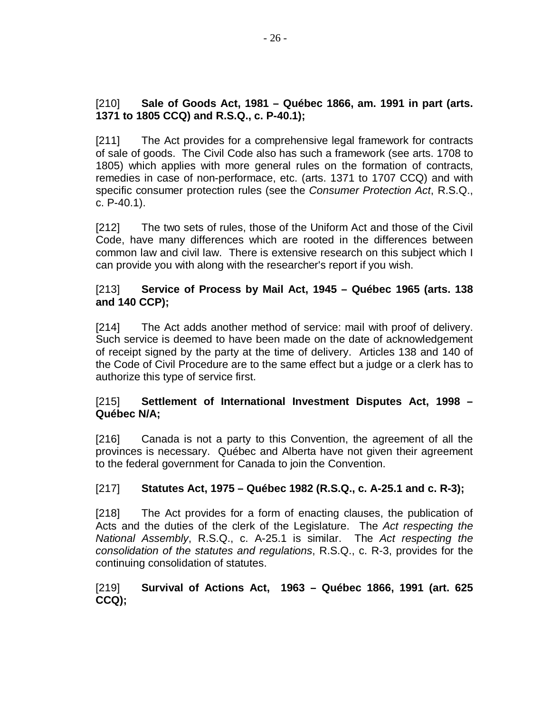#### [210] **Sale of Goods Act, 1981 – Québec 1866, am. 1991 in part (arts. 1371 to 1805 CCQ) and R.S.Q., c. P-40.1);**

[211] The Act provides for a comprehensive legal framework for contracts of sale of goods. The Civil Code also has such a framework (see arts. 1708 to 1805) which applies with more general rules on the formation of contracts, remedies in case of non-performace, etc. (arts. 1371 to 1707 CCQ) and with specific consumer protection rules (see the Consumer Protection Act, R.S.Q., c. P-40.1).

[212] The two sets of rules, those of the Uniform Act and those of the Civil Code, have many differences which are rooted in the differences between common law and civil law. There is extensive research on this subject which I can provide you with along with the researcher's report if you wish.

# [213] **Service of Process by Mail Act, 1945 – Québec 1965 (arts. 138 and 140 CCP);**

[214] The Act adds another method of service: mail with proof of delivery. Such service is deemed to have been made on the date of acknowledgement of receipt signed by the party at the time of delivery. Articles 138 and 140 of the Code of Civil Procedure are to the same effect but a judge or a clerk has to authorize this type of service first.

# [215] **Settlement of International Investment Disputes Act, 1998 – Québec N/A;**

[216] Canada is not a party to this Convention, the agreement of all the provinces is necessary. Québec and Alberta have not given their agreement to the federal government for Canada to join the Convention.

# [217] **Statutes Act, 1975 – Québec 1982 (R.S.Q., c. A-25.1 and c. R-3);**

[218] The Act provides for a form of enacting clauses, the publication of Acts and the duties of the clerk of the Legislature. The Act respecting the National Assembly, R.S.Q., c. A-25.1 is similar. The Act respecting the consolidation of the statutes and regulations, R.S.Q., c. R-3, provides for the continuing consolidation of statutes.

# [219] **Survival of Actions Act, 1963 – Québec 1866, 1991 (art. 625 CCQ);**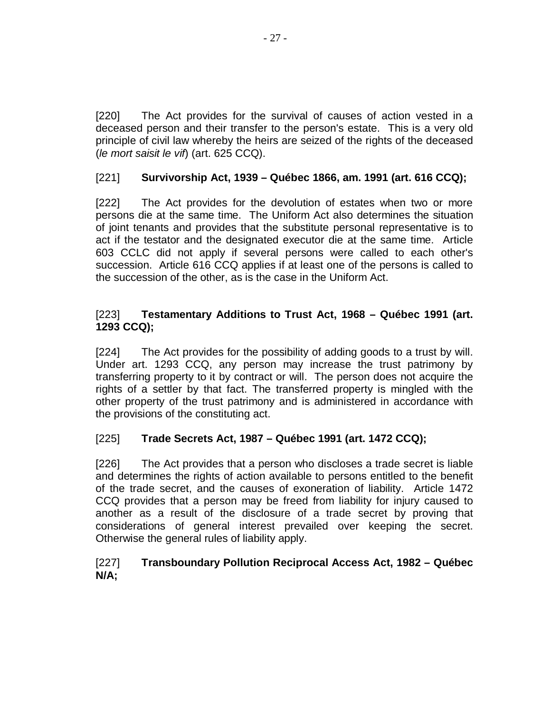[220] The Act provides for the survival of causes of action vested in a deceased person and their transfer to the person's estate. This is a very old principle of civil law whereby the heirs are seized of the rights of the deceased (le mort saisit le vif) (art. 625 CCQ).

# [221] **Survivorship Act, 1939 – Québec 1866, am. 1991 (art. 616 CCQ);**

[222] The Act provides for the devolution of estates when two or more persons die at the same time. The Uniform Act also determines the situation of joint tenants and provides that the substitute personal representative is to act if the testator and the designated executor die at the same time. Article 603 CCLC did not apply if several persons were called to each other's succession. Article 616 CCQ applies if at least one of the persons is called to the succession of the other, as is the case in the Uniform Act.

# [223] **Testamentary Additions to Trust Act, 1968 – Québec 1991 (art. 1293 CCQ);**

[224] The Act provides for the possibility of adding goods to a trust by will. Under art. 1293 CCQ, any person may increase the trust patrimony by transferring property to it by contract or will. The person does not acquire the rights of a settler by that fact. The transferred property is mingled with the other property of the trust patrimony and is administered in accordance with the provisions of the constituting act.

# [225] **Trade Secrets Act, 1987 – Québec 1991 (art. 1472 CCQ);**

[226] The Act provides that a person who discloses a trade secret is liable and determines the rights of action available to persons entitled to the benefit of the trade secret, and the causes of exoneration of liability. Article 1472 CCQ provides that a person may be freed from liability for injury caused to another as a result of the disclosure of a trade secret by proving that considerations of general interest prevailed over keeping the secret. Otherwise the general rules of liability apply.

# [227] **Transboundary Pollution Reciprocal Access Act, 1982 – Québec N/A;**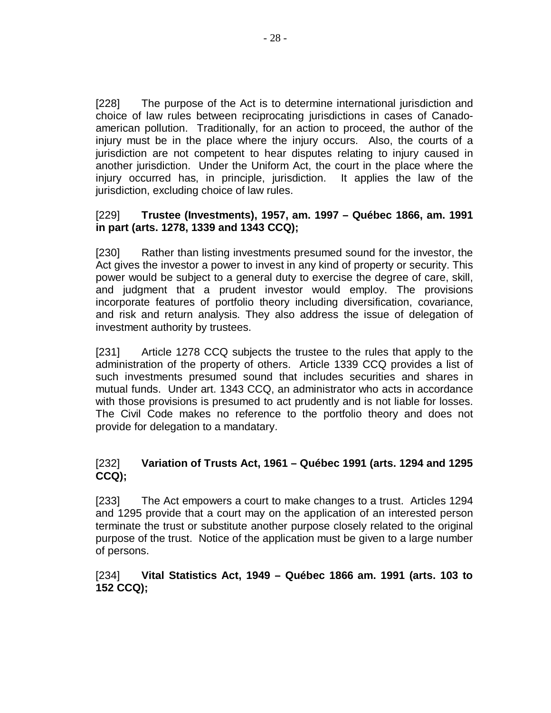[228] The purpose of the Act is to determine international jurisdiction and choice of law rules between reciprocating jurisdictions in cases of Canadoamerican pollution. Traditionally, for an action to proceed, the author of the injury must be in the place where the injury occurs. Also, the courts of a jurisdiction are not competent to hear disputes relating to injury caused in another jurisdiction. Under the Uniform Act, the court in the place where the injury occurred has, in principle, jurisdiction. It applies the law of the jurisdiction, excluding choice of law rules.

#### [229] **Trustee (Investments), 1957, am. 1997 – Québec 1866, am. 1991 in part (arts. 1278, 1339 and 1343 CCQ);**

[230] Rather than listing investments presumed sound for the investor, the Act gives the investor a power to invest in any kind of property or security. This power would be subject to a general duty to exercise the degree of care, skill, and judgment that a prudent investor would employ. The provisions incorporate features of portfolio theory including diversification, covariance, and risk and return analysis. They also address the issue of delegation of investment authority by trustees.

[231] Article 1278 CCQ subjects the trustee to the rules that apply to the administration of the property of others. Article 1339 CCQ provides a list of such investments presumed sound that includes securities and shares in mutual funds. Under art. 1343 CCQ, an administrator who acts in accordance with those provisions is presumed to act prudently and is not liable for losses. The Civil Code makes no reference to the portfolio theory and does not provide for delegation to a mandatary.

# [232] **Variation of Trusts Act, 1961 – Québec 1991 (arts. 1294 and 1295 CCQ);**

[233] The Act empowers a court to make changes to a trust. Articles 1294 and 1295 provide that a court may on the application of an interested person terminate the trust or substitute another purpose closely related to the original purpose of the trust. Notice of the application must be given to a large number of persons.

#### [234] **Vital Statistics Act, 1949 – Québec 1866 am. 1991 (arts. 103 to 152 CCQ);**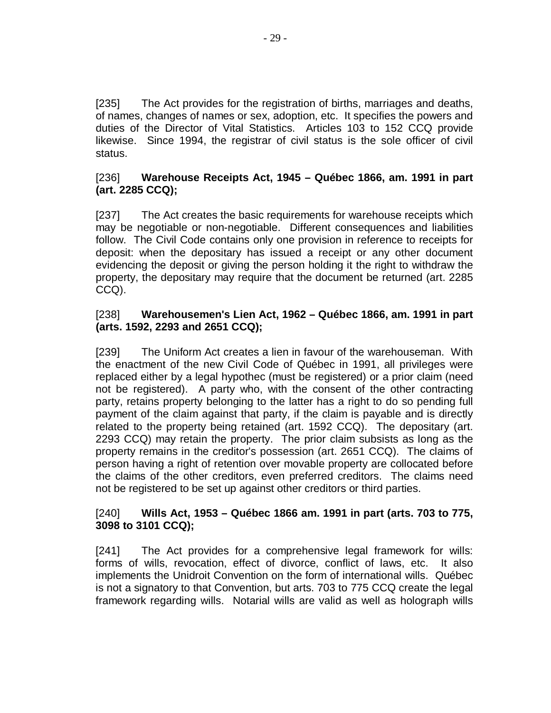[235] The Act provides for the registration of births, marriages and deaths, of names, changes of names or sex, adoption, etc. It specifies the powers and duties of the Director of Vital Statistics. Articles 103 to 152 CCQ provide likewise. Since 1994, the registrar of civil status is the sole officer of civil status.

#### [236] **Warehouse Receipts Act, 1945 – Québec 1866, am. 1991 in part (art. 2285 CCQ);**

[237] The Act creates the basic requirements for warehouse receipts which may be negotiable or non-negotiable. Different consequences and liabilities follow. The Civil Code contains only one provision in reference to receipts for deposit: when the depositary has issued a receipt or any other document evidencing the deposit or giving the person holding it the right to withdraw the property, the depositary may require that the document be returned (art. 2285 CCQ).

#### [238] **Warehousemen's Lien Act, 1962 – Québec 1866, am. 1991 in part (arts. 1592, 2293 and 2651 CCQ);**

[239] The Uniform Act creates a lien in favour of the warehouseman. With the enactment of the new Civil Code of Québec in 1991, all privileges were replaced either by a legal hypothec (must be registered) or a prior claim (need not be registered). A party who, with the consent of the other contracting party, retains property belonging to the latter has a right to do so pending full payment of the claim against that party, if the claim is payable and is directly related to the property being retained (art. 1592 CCQ). The depositary (art. 2293 CCQ) may retain the property. The prior claim subsists as long as the property remains in the creditor's possession (art. 2651 CCQ). The claims of person having a right of retention over movable property are collocated before the claims of the other creditors, even preferred creditors. The claims need not be registered to be set up against other creditors or third parties.

#### [240] **Wills Act, 1953 – Québec 1866 am. 1991 in part (arts. 703 to 775, 3098 to 3101 CCQ);**

[241] The Act provides for a comprehensive legal framework for wills: forms of wills, revocation, effect of divorce, conflict of laws, etc. It also implements the Unidroit Convention on the form of international wills. Québec is not a signatory to that Convention, but arts. 703 to 775 CCQ create the legal framework regarding wills. Notarial wills are valid as well as holograph wills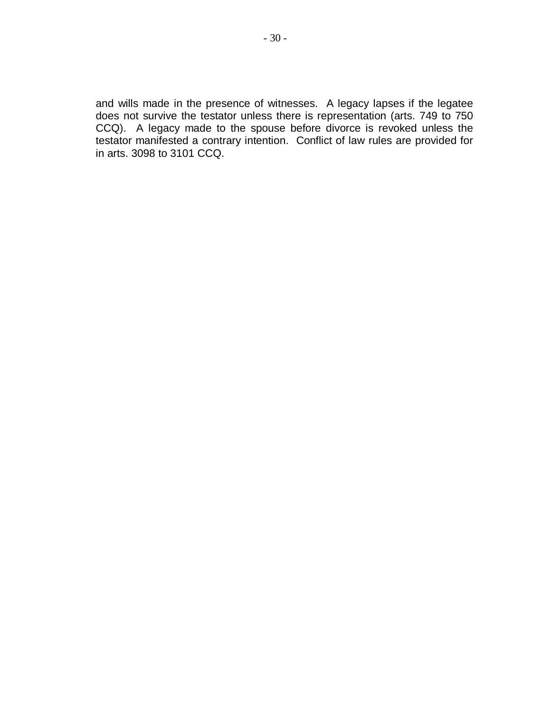and wills made in the presence of witnesses. A legacy lapses if the legatee does not survive the testator unless there is representation (arts. 749 to 750 CCQ). A legacy made to the spouse before divorce is revoked unless the testator manifested a contrary intention. Conflict of law rules are provided for in arts. 3098 to 3101 CCQ.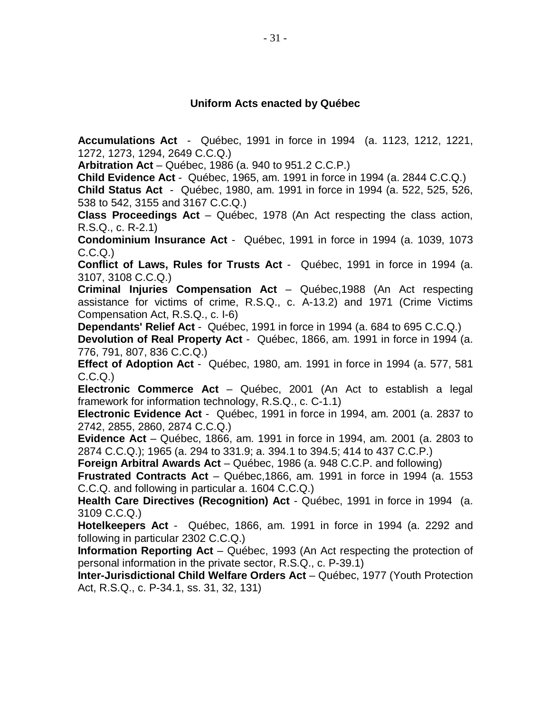#### **Uniform Acts enacted by Québec**

**Accumulations Act** - Québec, 1991 in force in 1994 (a. 1123, 1212, 1221, 1272, 1273, 1294, 2649 C.C.Q.)

**Arbitration Act** – Québec, 1986 (a. 940 to 951.2 C.C.P.)

**Child Evidence Act** - Québec, 1965, am. 1991 in force in 1994 (a. 2844 C.C.Q.)

**Child Status Act** - Québec, 1980, am. 1991 in force in 1994 (a. 522, 525, 526, 538 to 542, 3155 and 3167 C.C.Q.)

**Class Proceedings Act** – Québec, 1978 (An Act respecting the class action, R.S.Q., c. R-2.1)

**Condominium Insurance Act** - Québec, 1991 in force in 1994 (a. 1039, 1073 C.C.Q.)

**Conflict of Laws, Rules for Trusts Act** - Québec, 1991 in force in 1994 (a. 3107, 3108 C.C.Q.)

**Criminal Injuries Compensation Act** – Québec,1988 (An Act respecting assistance for victims of crime, R.S.Q., c. A-13.2) and 1971 (Crime Victims Compensation Act, R.S.Q., c. I-6)

**Dependants' Relief Act** - Québec, 1991 in force in 1994 (a. 684 to 695 C.C.Q.)

**Devolution of Real Property Act** - Québec, 1866, am. 1991 in force in 1994 (a. 776, 791, 807, 836 C.C.Q.)

**Effect of Adoption Act** - Québec, 1980, am. 1991 in force in 1994 (a. 577, 581 C.C.Q.)

**Electronic Commerce Act** – Québec, 2001 (An Act to establish a legal framework for information technology, R.S.Q., c. C-1.1)

**Electronic Evidence Act** - Québec, 1991 in force in 1994, am. 2001 (a. 2837 to 2742, 2855, 2860, 2874 C.C.Q.)

**Evidence Act** – Québec, 1866, am. 1991 in force in 1994, am. 2001 (a. 2803 to 2874 C.C.Q.); 1965 (a. 294 to 331.9; a. 394.1 to 394.5; 414 to 437 C.C.P.)

**Foreign Arbitral Awards Act** – Québec, 1986 (a. 948 C.C.P. and following)

**Frustrated Contracts Act** – Québec,1866, am. 1991 in force in 1994 (a. 1553 C.C.Q. and following in particular a. 1604 C.C.Q.)

**Health Care Directives (Recognition) Act** - Québec, 1991 in force in 1994 (a. 3109 C.C.Q.)

**Hotelkeepers Act** - Québec, 1866, am. 1991 in force in 1994 (a. 2292 and following in particular 2302 C.C.Q.)

**Information Reporting Act** – Québec, 1993 (An Act respecting the protection of personal information in the private sector, R.S.Q., c. P-39.1)

**Inter-Jurisdictional Child Welfare Orders Act** – Québec, 1977 (Youth Protection Act, R.S.Q., c. P-34.1, ss. 31, 32, 131)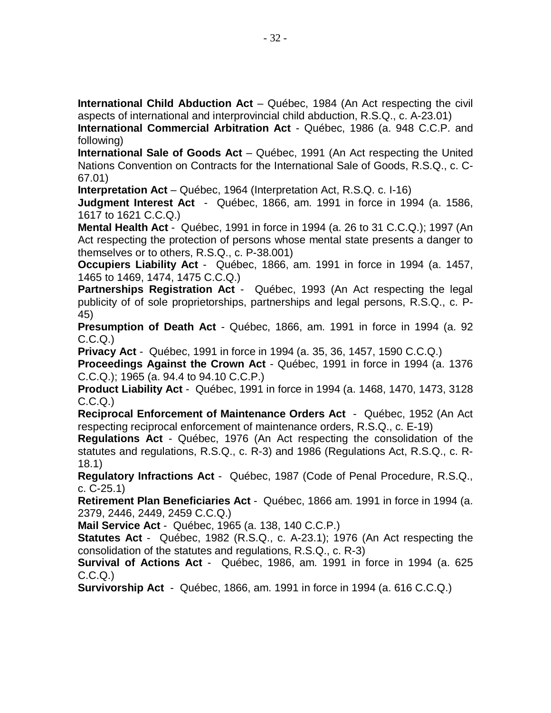**International Child Abduction Act** – Québec, 1984 (An Act respecting the civil aspects of international and interprovincial child abduction, R.S.Q., c. A-23.01)

**International Commercial Arbitration Act** - Québec, 1986 (a. 948 C.C.P. and following)

**International Sale of Goods Act** – Québec, 1991 (An Act respecting the United Nations Convention on Contracts for the International Sale of Goods, R.S.Q., c. C-67.01)

**Interpretation Act** – Québec, 1964 (Interpretation Act, R.S.Q. c. I-16)

**Judgment Interest Act** - Québec, 1866, am. 1991 in force in 1994 (a. 1586, 1617 to 1621 C.C.Q.)

**Mental Health Act** - Québec, 1991 in force in 1994 (a. 26 to 31 C.C.Q.); 1997 (An Act respecting the protection of persons whose mental state presents a danger to themselves or to others, R.S.Q., c. P-38.001)

**Occupiers Liability Act** - Québec, 1866, am. 1991 in force in 1994 (a. 1457, 1465 to 1469, 1474, 1475 C.C.Q.)

**Partnerships Registration Act** - Québec, 1993 (An Act respecting the legal publicity of of sole proprietorships, partnerships and legal persons, R.S.Q., c. P-45)

**Presumption of Death Act** - Québec, 1866, am. 1991 in force in 1994 (a. 92  $C.C.Q.$ 

**Privacy Act** - Québec, 1991 in force in 1994 (a. 35, 36, 1457, 1590 C.C.Q.)

**Proceedings Against the Crown Act** - Québec, 1991 in force in 1994 (a. 1376 C.C.Q.); 1965 (a. 94.4 to 94.10 C.C.P.)

**Product Liability Act** - Québec, 1991 in force in 1994 (a. 1468, 1470, 1473, 3128 C.C.Q.)

**Reciprocal Enforcement of Maintenance Orders Act** - Québec, 1952 (An Act respecting reciprocal enforcement of maintenance orders, R.S.Q., c. E-19)

**Regulations Act** - Québec, 1976 (An Act respecting the consolidation of the statutes and regulations, R.S.Q., c. R-3) and 1986 (Regulations Act, R.S.Q., c. R-18.1)

**Regulatory Infractions Act** - Québec, 1987 (Code of Penal Procedure, R.S.Q., c. C-25.1)

**Retirement Plan Beneficiaries Act** - Québec, 1866 am. 1991 in force in 1994 (a. 2379, 2446, 2449, 2459 C.C.Q.)

**Mail Service Act** - Québec, 1965 (a. 138, 140 C.C.P.)

**Statutes Act** - Québec, 1982 (R.S.Q., c. A-23.1); 1976 (An Act respecting the consolidation of the statutes and regulations, R.S.Q., c. R-3)

**Survival of Actions Act** - Québec, 1986, am. 1991 in force in 1994 (a. 625  $C.C.Q.$ 

**Survivorship Act** - Québec, 1866, am. 1991 in force in 1994 (a. 616 C.C.Q.)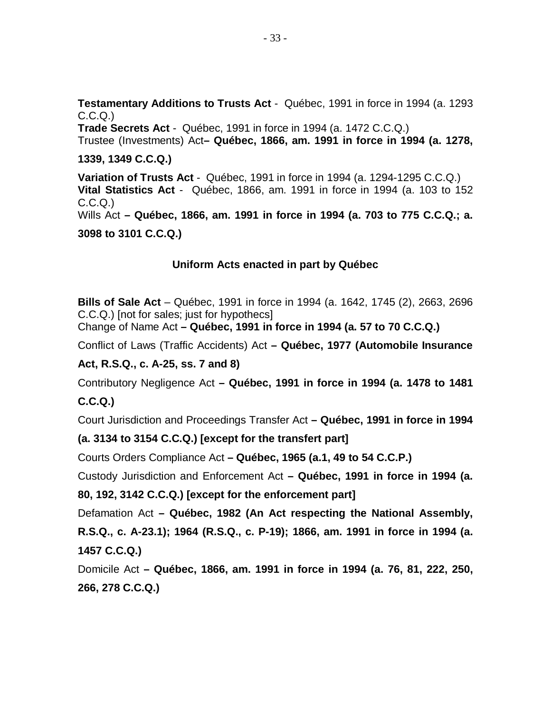**Testamentary Additions to Trusts Act** - Québec, 1991 in force in 1994 (a. 1293  $C.C.Q.$ 

**Trade Secrets Act** - Québec, 1991 in force in 1994 (a. 1472 C.C.Q.) Trustee (Investments) Act**– Québec, 1866, am. 1991 in force in 1994 (a. 1278,**

**1339, 1349 C.C.Q.)**

**Variation of Trusts Act** - Québec, 1991 in force in 1994 (a. 1294-1295 C.C.Q.) **Vital Statistics Act** - Québec, 1866, am. 1991 in force in 1994 (a. 103 to 152 C.C.Q.) Wills Act **– Québec, 1866, am. 1991 in force in 1994 (a. 703 to 775 C.C.Q.; a. 3098 to 3101 C.C.Q.)**

#### **Uniform Acts enacted in part by Québec**

**Bills of Sale Act** – Québec, 1991 in force in 1994 (a. 1642, 1745 (2), 2663, 2696 C.C.Q.) [not for sales; just for hypothecs]

Change of Name Act **– Québec, 1991 in force in 1994 (a. 57 to 70 C.C.Q.)**

Conflict of Laws (Traffic Accidents) Act **– Québec, 1977 (Automobile Insurance**

#### **Act, R.S.Q., c. A-25, ss. 7 and 8)**

Contributory Negligence Act **– Québec, 1991 in force in 1994 (a. 1478 to 1481 C.C.Q.)**

Court Jurisdiction and Proceedings Transfer Act **– Québec, 1991 in force in 1994**

#### **(a. 3134 to 3154 C.C.Q.) [except for the transfert part]**

Courts Orders Compliance Act **– Québec, 1965 (a.1, 49 to 54 C.C.P.)**

Custody Jurisdiction and Enforcement Act **– Québec, 1991 in force in 1994 (a.**

**80, 192, 3142 C.C.Q.) [except for the enforcement part]**

Defamation Act **– Québec, 1982 (An Act respecting the National Assembly, R.S.Q., c. A-23.1); 1964 (R.S.Q., c. P-19); 1866, am. 1991 in force in 1994 (a. 1457 C.C.Q.)**

Domicile Act **– Québec, 1866, am. 1991 in force in 1994 (a. 76, 81, 222, 250, 266, 278 C.C.Q.)**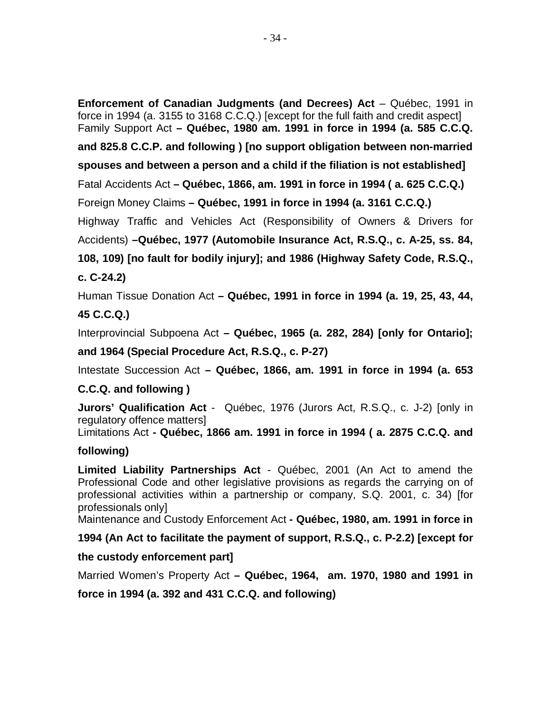- 34 -

**Enforcement of Canadian Judgments (and Decrees) Act** – Québec, 1991 in force in 1994 (a. 3155 to 3168 C.C.Q.) [except for the full faith and credit aspect] Family Support Act **– Québec, 1980 am. 1991 in force in 1994 (a. 585 C.C.Q.**

**and 825.8 C.C.P. and following ) [no support obligation between non-married**

**spouses and between a person and a child if the filiation is not established]**

Fatal Accidents Act **– Québec, 1866, am. 1991 in force in 1994 ( a. 625 C.C.Q.)**

Foreign Money Claims **– Québec, 1991 in force in 1994 (a. 3161 C.C.Q.)**

Highway Traffic and Vehicles Act (Responsibility of Owners & Drivers for Accidents) **–Québec, 1977 (Automobile Insurance Act, R.S.Q., c. A-25, ss. 84,**

**108, 109) [no fault for bodily injury]; and 1986 (Highway Safety Code, R.S.Q., c. C-24.2)**

Human Tissue Donation Act **– Québec, 1991 in force in 1994 (a. 19, 25, 43, 44,**

# **45 C.C.Q.)**

Interprovincial Subpoena Act **– Québec, 1965 (a. 282, 284) [only for Ontario];**

**and 1964 (Special Procedure Act, R.S.Q., c. P-27)**

Intestate Succession Act **– Québec, 1866, am. 1991 in force in 1994 (a. 653**

# **C.C.Q. and following )**

**Jurors' Qualification Act** - Québec, 1976 (Jurors Act, R.S.Q., c. J-2) [only in regulatory offence matters]

Limitations Act **- Québec, 1866 am. 1991 in force in 1994 ( a. 2875 C.C.Q. and**

# **following)**

**Limited Liability Partnerships Act** - Québec, 2001 (An Act to amend the Professional Code and other legislative provisions as regards the carrying on of professional activities within a partnership or company, S.Q. 2001, c. 34) [for professionals only]

Maintenance and Custody Enforcement Act **- Québec, 1980, am. 1991 in force in**

**1994 (An Act to facilitate the payment of support, R.S.Q., c. P-2.2) [except for**

# **the custody enforcement part]**

Married Women's Property Act **– Québec, 1964, am. 1970, 1980 and 1991 in**

**force in 1994 (a. 392 and 431 C.C.Q. and following)**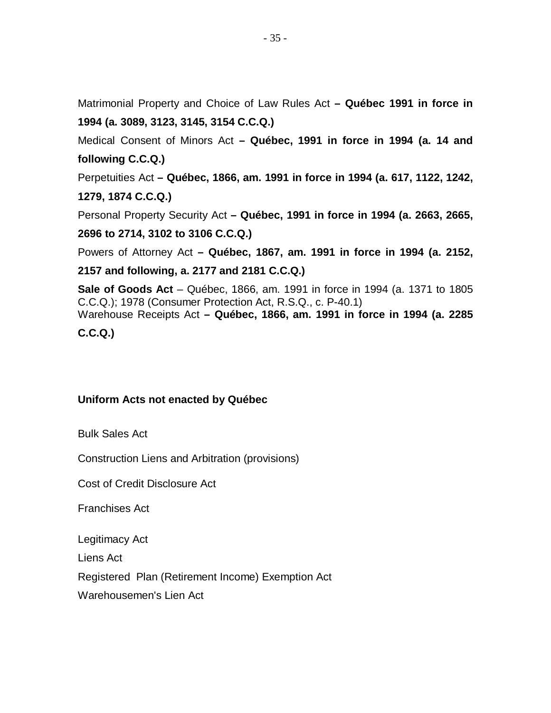Matrimonial Property and Choice of Law Rules Act **– Québec 1991 in force in 1994 (a. 3089, 3123, 3145, 3154 C.C.Q.)**

Medical Consent of Minors Act **– Québec, 1991 in force in 1994 (a. 14 and following C.C.Q.)**

Perpetuities Act **– Québec, 1866, am. 1991 in force in 1994 (a. 617, 1122, 1242, 1279, 1874 C.C.Q.)**

Personal Property Security Act **– Québec, 1991 in force in 1994 (a. 2663, 2665,**

**2696 to 2714, 3102 to 3106 C.C.Q.)**

Powers of Attorney Act **– Québec, 1867, am. 1991 in force in 1994 (a. 2152,**

**2157 and following, a. 2177 and 2181 C.C.Q.)**

**Sale of Goods Act** – Québec, 1866, am. 1991 in force in 1994 (a. 1371 to 1805 C.C.Q.); 1978 (Consumer Protection Act, R.S.Q., c. P-40.1) Warehouse Receipts Act **– Québec, 1866, am. 1991 in force in 1994 (a. 2285**

**C.C.Q.)**

# **Uniform Acts not enacted by Québec**

Bulk Sales Act

Construction Liens and Arbitration (provisions)

Cost of Credit Disclosure Act

Franchises Act

Legitimacy Act

Liens Act

Registered Plan (Retirement Income) Exemption Act

Warehousemen's Lien Act